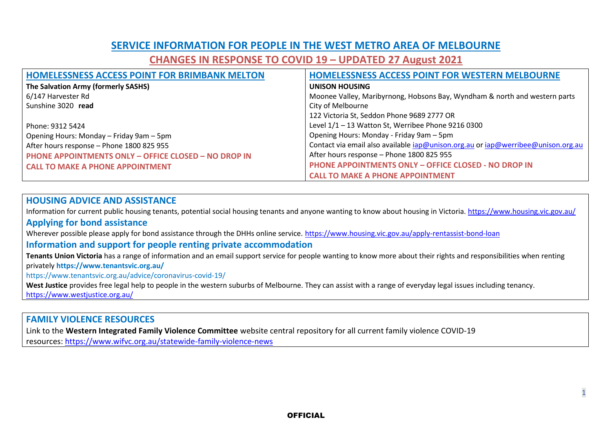## **SERVICE INFORMATION FOR PEOPLE IN THE WEST METRO AREA OF MELBOURNE**

**CHANGES IN RESPONSE TO COVID 19 – UPDATED 27 August 2021**

| <b>HOMELESSNESS ACCESS POINT FOR BRIMBANK MELTON</b>        | <b>HOMELESSNESS ACCESS POINT FOR WESTERN MELBOURNE</b>                           |
|-------------------------------------------------------------|----------------------------------------------------------------------------------|
| The Salvation Army (formerly SASHS)                         | <b>UNISON HOUSING</b>                                                            |
| 6/147 Harvester Rd                                          | Moonee Valley, Maribyrnong, Hobsons Bay, Wyndham & north and western parts       |
| Sunshine 3020 read                                          | City of Melbourne                                                                |
|                                                             | 122 Victoria St, Seddon Phone 9689 2777 OR                                       |
| l Phone: 9312 5424                                          | Level 1/1 - 13 Watton St, Werribee Phone 9216 0300                               |
| Opening Hours: Monday – Friday 9am – 5pm                    | Opening Hours: Monday - Friday 9am - 5pm                                         |
| After hours response - Phone 1800 825 955                   | Contact via email also available iap@unison.org.au or iap@werribee@unison.org.au |
| <b>PHONE APPOINTMENTS ONLY - OFFICE CLOSED - NO DROP IN</b> | After hours response - Phone 1800 825 955                                        |
| <b>CALL TO MAKE A PHONE APPOINTMENT</b>                     | <b>PHONE APPOINTMENTS ONLY - OFFICE CLOSED - NO DROP IN</b>                      |
|                                                             | <b>CALL TO MAKE A PHONE APPOINTMENT</b>                                          |

#### **HOUSING ADVICE AND ASSISTANCE**

Information for current public housing tenants, potential social housing tenants and anyone wanting to know about housing in Victoria. <https://www.housing.vic.gov.au/> **Applying for bond assistance** 

Wherever possible please apply for bond assistance through the DHHs online service. <https://www.housing.vic.gov.au/apply-rentassist-bond-loan>

#### **Information and support for people renting private accommodation**

**Tenants Union Victoria** has a range of information and an email support service for people wanting to know more about their rights and responsibilities when renting privately **https://www.tenantsvic.org.au/**

<https://www.tenantsvic.org.au/advice/coronavirus-covid-19/>

**West Justice** provides free legal help to people in the western suburbs of Melbourne. They can assist with a range of everyday legal issues including tenancy. <https://www.westjustice.org.au/>

#### **FAMILY VIOLENCE RESOURCES**

Link to the **Western Integrated Family Violence Committee** website central repository for all current family violence COVID-19

resources: [https://www.wifvc.org.au/statewide-family-violence-news](https://urldefense.proofpoint.com/v2/url?u=https-3A__www.wifvc.org.au_statewide-2Dfamily-2Dviolence-2Dnews&d=DwMF-g&c=JnBkUqWXzx2bz-3a05d47Q&r=GJx6ScS1mY9v3oHOkaz5jRHFAsiCPgSWe75ypjLHIh4&m=hzv0qWsnDpXGLTecSciKmNgVBV5-p-FD6Ia7mwn4h1w&s=WcQU_Q2eTxY3MQnBh80QKDHcZLP4XeoPW59DKXt09gg&e=)

1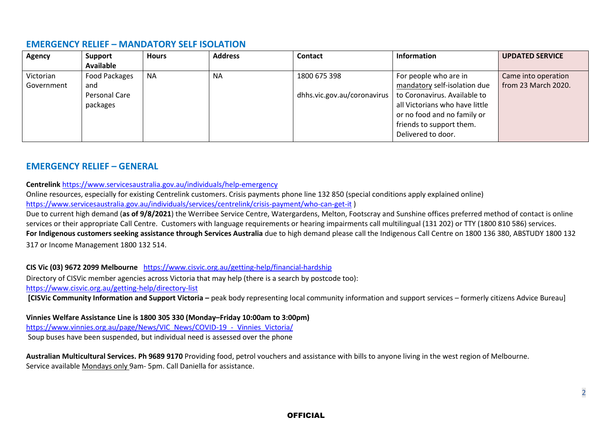#### **EMERGENCY RELIEF – MANDATORY SELF ISOLATION**

| <b>Agency</b> | Support              | <b>Hours</b> | <b>Address</b> | <b>Contact</b>                      | Information                    | <b>UPDATED SERVICE</b> |
|---------------|----------------------|--------------|----------------|-------------------------------------|--------------------------------|------------------------|
|               | Available            |              |                |                                     |                                |                        |
| Victorian     | <b>Food Packages</b> | <b>NA</b>    | NA.            | 1800 675 398                        | For people who are in          | Came into operation    |
| Government    | and                  |              |                |                                     | mandatory self-isolation due   | from 23 March 2020.    |
|               | Personal Care        |              |                | dhhs.vic.gov.au/coronavirus $\vert$ | to Coronavirus. Available to   |                        |
|               | packages             |              |                |                                     | all Victorians who have little |                        |
|               |                      |              |                |                                     | or no food and no family or    |                        |
|               |                      |              |                |                                     | friends to support them.       |                        |
|               |                      |              |                |                                     | Delivered to door.             |                        |

## **EMERGENCY RELIEF – GENERAL**

#### **Centrelink** <https://www.servicesaustralia.gov.au/individuals/help-emergency>

Online resources, especially for existing Centrelink customers. Crisis payments phone line 132 850 (special conditions apply explained online) <https://www.servicesaustralia.gov.au/individuals/services/centrelink/crisis-payment/who-can-get-it> )

Due to current high demand (**as of 9/8/2021**) the Werribee Service Centre, Watergardens, Melton, Footscray and Sunshine offices preferred method of contact is online services or their appropriate Call Centre. Customers with language requirements or hearing impairments call multilingual (131 202) or TTY (1800 810 586) services. **For Indigenous customers seeking assistance through Services Australia** due to high demand please call the Indigenous Call Centre on 1800 136 380, ABSTUDY 1800 132 317 or Income Management 1800 132 514.

**CIS Vic (03) 9672 2099 Melbourne** <https://www.cisvic.org.au/getting-help/financial-hardship>

Directory of CISVic member agencies across Victoria that may help (there is a search by postcode too):

<https://www.cisvic.org.au/getting-help/directory-list>

**[CISVic Community Information and Support Victoria** – peak body representing local community information and support services – formerly citizens Advice Bureau]

**Vinnies Welfare Assistance Line is 1800 305 330 (Monday–Friday 10:00am to 3:00pm)** [https://www.vinnies.org.au/page/News/VIC\\_News/COVID-19\\_-\\_Vinnies\\_Victoria/](https://www.vinnies.org.au/page/News/VIC_News/COVID-19_-_Vinnies_Victoria/) Soup buses have been suspended, but individual need is assessed over the phone

**Australian Multicultural Services. Ph 9689 9170** Providing food, petrol vouchers and assistance with bills to anyone living in the west region of Melbourne. Service available Mondays only 9am- 5pm. Call Daniella for assistance.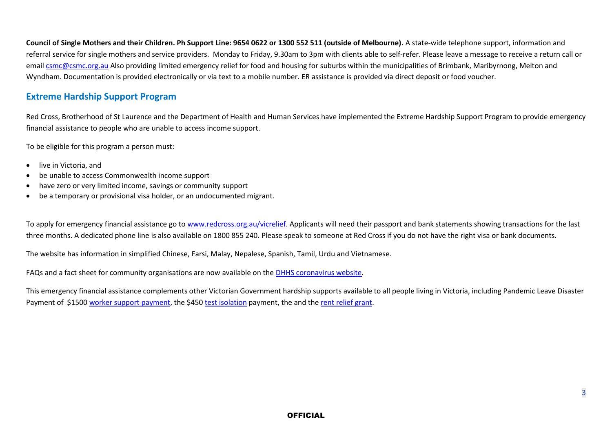**Council of Single Mothers and their Children. Ph Support Line: 9654 0622 or 1300 552 511 (outside of Melbourne).** A state-wide telephone support, information and referral service for single mothers and service providers. Monday to Friday, 9.30am to 3pm with clients able to self-refer. Please leave a message to receive a return call or email [csmc@csmc.org.au](mailto:csmc@csmc.org.au) Also providing limited emergency relief for food and housing for suburbs within the municipalities of Brimbank, Maribyrnong, Melton and Wyndham. Documentation is provided electronically or via text to a mobile number. ER assistance is provided via direct deposit or food voucher.

#### **Extreme Hardship Support Program**

Red Cross, Brotherhood of St Laurence and the Department of Health and Human Services have implemented the Extreme Hardship Support Program to provide emergency financial assistance to people who are unable to access income support.

To be eligible for this program a person must:

- live in Victoria, and
- be unable to access Commonwealth income support
- have zero or very limited income, savings or community support
- be a temporary or provisional visa holder, or an undocumented migrant.

To apply for emergency financial assistance go t[o www.redcross.org.au/vicrelief.](http://www.redcross.org.au/vicrelief) Applicants will need their passport and bank statements showing transactions for the last three months. A dedicated phone line is also available on 1800 855 240. Please speak to someone at Red Cross if you do not have the right visa or bank documents.

The website has information in simplified Chinese, Farsi, Malay, Nepalese, Spanish, Tamil, Urdu and Vietnamese.

FAQs and a fact sheet for community organisations are now available on the [DHHS coronavirus website.](https://www.dhhs.vic.gov.au/financial-support-coronavirus-covid-19#extreme-hardship-support-program)

This emergency financial assistance complements other Victorian Government hardship supports available to all people living in Victoria, including Pandemic Leave Disaster Payment of \$150[0 worker support payment,](https://www.dhhs.vic.gov.au/financial-support-coronavirus-covid-19#worker-support-payment) the \$45[0 test isolation](https://www.dhhs.vic.gov.au/employee-isolation-payment-covid-19) payment, the and the [rent relief grant.](https://www.dhhs.vic.gov.au/financial-support-coronavirus-covid-19#rent-relief-grant)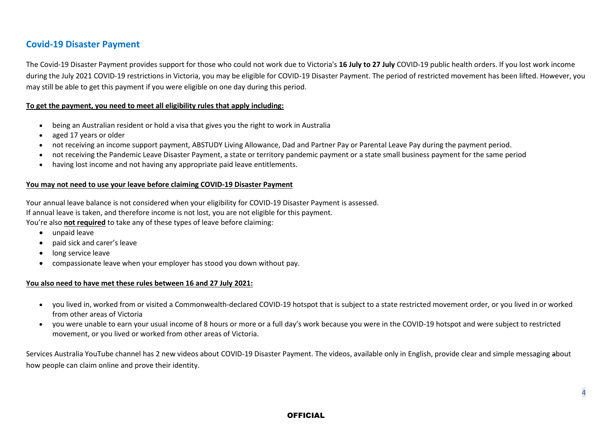## **Covid-19 Disaster Payment**

The Covid-19 Disaster Payment provides support for those who could not work due to Victoria's **16 July to 27 July** COVID-19 public health orders. If you lost work income during the July 2021 COVID-19 restrictions in Victoria, you may be eligible for COVID-19 Disaster Payment. The period of restricted movement has been lifted. However, you may still be able to get this payment if you were eligible on one day during this period.

#### **To get the payment, you need to meet all eligibility rules that apply including:**

- being an Australian resident or hold a visa that gives you the right to work in Australia
- aged 17 years or older
- not receiving an income support payment, ABSTUDY Living Allowance, Dad and Partner Pay or Parental Leave Pay during the payment period.
- not receiving the Pandemic Leave Disaster Payment, a state or territory pandemic payment or a state small business payment for the same period
- having lost income and not having any appropriate paid leave entitlements.

#### **You may not need to use your leave before claiming COVID-19 Disaster Payment**

Your annual leave balance is not considered when your eligibility for COVID-19 Disaster Payment is assessed. If annual leave is taken, and therefore income is not lost, you are not eligible for this payment. You're also **not required** to take any of these types of leave before claiming:

- unpaid leave
- paid sick and carer's leave
- long service leave
- compassionate leave when your employer has stood you down without pay.

#### **You also need to have met these rules between 16 and 27 July 2021:**

- you lived in, worked from or visited a Commonwealth-declared COVID-19 hotspot that is subject to a state restricted movement order, or you lived in or worked from other areas of Victoria
- you were unable to earn your usual income of 8 hours or more or a full day's work because you were in the COVID-19 hotspot and were subject to restricted movement, or you lived or worked from other areas of Victoria.

Services Australia YouTube channel has 2 new videos about COVID-19 Disaster Payment. The videos, available only in English, provide clear and simple messaging about how people can claim online and prove their identity.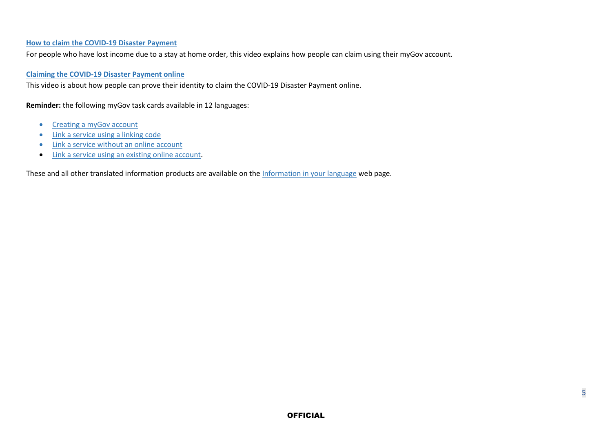#### **[How to claim the COVID-19 Disaster Payment](https://urldefense.proofpoint.com/v2/url?u=https-3A__www.youtube.com_watch-3Fv-3DH-5FCwfdQng5c-26list-3DPL3zxsbzVCpwmajd-2DPSfNBmat-2Dywojossz&d=DwMFAg&c=JnBkUqWXzx2bz-3a05d47Q&r=kWvoJ8plpPxNWlf5buxLzgtF7WmbO4M1M9HH-lNoriQ&m=MZx4SUbI9CaXCxgE4PQRHhQSFwm2qgRxsU21Sips2a0&s=oHEA5dLVGgJ8bn_yhJeSuuqSuoKlhQQVQlUuT58Hnx4&e=)**

For people who have lost income due to a stay at home order, this video explains how people can claim using their myGov account.

#### **[Claiming the COVID-19 Disaster Payment online](https://urldefense.proofpoint.com/v2/url?u=https-3A__www.youtube.com_watch-3Fv-3D-5F0p2prJf-5FOA&d=DwMFAg&c=JnBkUqWXzx2bz-3a05d47Q&r=kWvoJ8plpPxNWlf5buxLzgtF7WmbO4M1M9HH-lNoriQ&m=MZx4SUbI9CaXCxgE4PQRHhQSFwm2qgRxsU21Sips2a0&s=gmiFGS3Rvx0mofvb4cXX7Gn8O9lz4S-vutbDyH1y4Wo&e=)**

This video is about how people can prove their identity to claim the COVID-19 Disaster Payment online.

**Reminder:** the following myGov task cards available in 12 languages:

- [Creating a myGov account](https://urldefense.proofpoint.com/v2/url?u=https-3A__www.servicesaustralia.gov.au_individuals_information-2Din-2Dyour-2Dlanguage_products_mygov-2Dcreate-2Daccount&d=DwMFAg&c=JnBkUqWXzx2bz-3a05d47Q&r=kWvoJ8plpPxNWlf5buxLzgtF7WmbO4M1M9HH-lNoriQ&m=MZx4SUbI9CaXCxgE4PQRHhQSFwm2qgRxsU21Sips2a0&s=zu8w4pdf49eIJCMgnuLSo_bjjpxz4xFasRaPKZQ6Zjg&e=)
- Link a service [using a linking code](https://urldefense.proofpoint.com/v2/url?u=https-3A__www.servicesaustralia.gov.au_individuals_information-2Din-2Dyour-2Dlanguage_products_mygov-2Dlink-2Dservice-2Dusing-2Dlinking-2Dcode&d=DwMFAg&c=JnBkUqWXzx2bz-3a05d47Q&r=kWvoJ8plpPxNWlf5buxLzgtF7WmbO4M1M9HH-lNoriQ&m=MZx4SUbI9CaXCxgE4PQRHhQSFwm2qgRxsU21Sips2a0&s=_nNj_NM_d1I7luH-iEu-p8PJ5zjO2mVZc8Os7fmNQ0g&e=)
- [Link a service without an online account](https://urldefense.proofpoint.com/v2/url?u=https-3A__www.servicesaustralia.gov.au_individuals_information-2Din-2Dyour-2Dlanguage_products_mygov-2Dlink-2Dservice-2Dwithout-2Donline-2Daccount&d=DwMFAg&c=JnBkUqWXzx2bz-3a05d47Q&r=kWvoJ8plpPxNWlf5buxLzgtF7WmbO4M1M9HH-lNoriQ&m=MZx4SUbI9CaXCxgE4PQRHhQSFwm2qgRxsU21Sips2a0&s=zd9y7pCFfLYSwXbo1TzjkH8qUmjltSSZD8zjaC3f0MM&e=)
- [Link a service using an existing online account.](https://urldefense.proofpoint.com/v2/url?u=https-3A__www.servicesaustralia.gov.au_individuals_information-2Din-2Dyour-2Dlanguage_products_mygov-2Dlink-2Dservice-2Dusing-2Dexisting-2Donline-2Daccount&d=DwMFAg&c=JnBkUqWXzx2bz-3a05d47Q&r=kWvoJ8plpPxNWlf5buxLzgtF7WmbO4M1M9HH-lNoriQ&m=MZx4SUbI9CaXCxgE4PQRHhQSFwm2qgRxsU21Sips2a0&s=nDjgVRudDRMJyrrQliOQrpVc5JV_qNef9bUihM7wJ4w&e=)

These and all other translated information products are available on the [Information in your language](https://urldefense.proofpoint.com/v2/url?u=https-3A__www.servicesaustralia.gov.au_individuals_information-2Din-2Dyour-2Dlanguage&d=DwMFAg&c=JnBkUqWXzx2bz-3a05d47Q&r=kWvoJ8plpPxNWlf5buxLzgtF7WmbO4M1M9HH-lNoriQ&m=MZx4SUbI9CaXCxgE4PQRHhQSFwm2qgRxsU21Sips2a0&s=3eZrW1jKLQhi8waaCg5uxc26DBATpLjYu8JXBTVkTgM&e=) web page.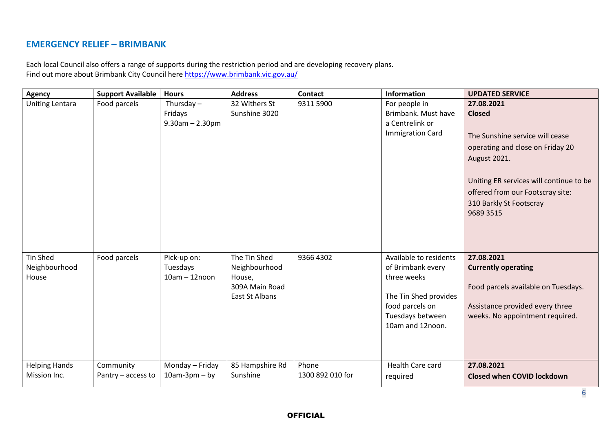#### **EMERGENCY RELIEF – BRIMBANK**

Each local Council also offers a range of supports during the restriction period and are developing recovery plans. Find out more about Brimbank City Council here<https://www.brimbank.vic.gov.au/>

| <b>Agency</b>                        | <b>Support Available</b>        | <b>Hours</b>                                     | <b>Address</b>                                                              | <b>Contact</b>            | Information                                                                                                                                    | <b>UPDATED SERVICE</b>                                                                                                                                                                                                                    |
|--------------------------------------|---------------------------------|--------------------------------------------------|-----------------------------------------------------------------------------|---------------------------|------------------------------------------------------------------------------------------------------------------------------------------------|-------------------------------------------------------------------------------------------------------------------------------------------------------------------------------------------------------------------------------------------|
| <b>Uniting Lentara</b>               | Food parcels                    | Thursday $-$<br>Fridays<br>$9.30$ am $- 2.30$ pm | 32 Withers St<br>Sunshine 3020                                              | 9311 5900                 | For people in<br>Brimbank. Must have<br>a Centrelink or<br><b>Immigration Card</b>                                                             | 27.08.2021<br><b>Closed</b><br>The Sunshine service will cease<br>operating and close on Friday 20<br>August 2021.<br>Uniting ER services will continue to be<br>offered from our Footscray site:<br>310 Barkly St Footscray<br>9689 3515 |
| Tin Shed<br>Neighbourhood<br>House   | Food parcels                    | Pick-up on:<br>Tuesdays<br>$10am - 12noon$       | The Tin Shed<br>Neighbourhood<br>House,<br>309A Main Road<br>East St Albans | 9366 4302                 | Available to residents<br>of Brimbank every<br>three weeks<br>The Tin Shed provides<br>food parcels on<br>Tuesdays between<br>10am and 12noon. | 27.08.2021<br><b>Currently operating</b><br>Food parcels available on Tuesdays.<br>Assistance provided every three<br>weeks. No appointment required.                                                                                     |
| <b>Helping Hands</b><br>Mission Inc. | Community<br>Pantry - access to | Monday - Friday<br>$10am-3pm-by$                 | 85 Hampshire Rd<br>Sunshine                                                 | Phone<br>1300 892 010 for | Health Care card<br>required                                                                                                                   | 27.08.2021<br><b>Closed when COVID lockdown</b>                                                                                                                                                                                           |

6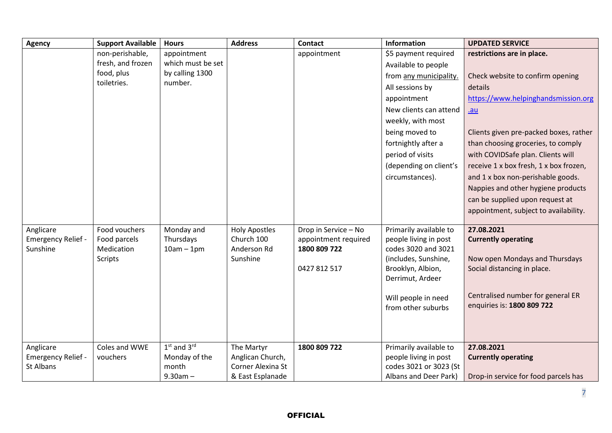| <b>Agency</b>      | <b>Support Available</b> | <b>Hours</b>      | <b>Address</b>          | <b>Contact</b>       | Information                               | <b>UPDATED SERVICE</b>                 |
|--------------------|--------------------------|-------------------|-------------------------|----------------------|-------------------------------------------|----------------------------------------|
|                    | non-perishable,          | appointment       |                         | appointment          | \$5 payment required                      | restrictions are in place.             |
|                    | fresh, and frozen        | which must be set |                         |                      | Available to people                       |                                        |
|                    | food, plus               | by calling 1300   |                         |                      | from any municipality.                    | Check website to confirm opening       |
|                    | toiletries.              | number.           |                         |                      | All sessions by                           | details                                |
|                    |                          |                   |                         |                      | appointment                               | https://www.helpinghandsmission.org    |
|                    |                          |                   |                         |                      | New clients can attend                    | $au$                                   |
|                    |                          |                   |                         |                      | weekly, with most                         |                                        |
|                    |                          |                   |                         |                      | being moved to                            | Clients given pre-packed boxes, rather |
|                    |                          |                   |                         |                      | fortnightly after a                       | than choosing groceries, to comply     |
|                    |                          |                   |                         |                      | period of visits                          | with COVIDSafe plan. Clients will      |
|                    |                          |                   |                         |                      | (depending on client's                    | receive 1 x box fresh, 1 x box frozen, |
|                    |                          |                   |                         |                      | circumstances).                           | and 1 x box non-perishable goods.      |
|                    |                          |                   |                         |                      |                                           | Nappies and other hygiene products     |
|                    |                          |                   |                         |                      |                                           | can be supplied upon request at        |
|                    |                          |                   |                         |                      |                                           | appointment, subject to availability.  |
|                    |                          |                   |                         |                      |                                           |                                        |
| Anglicare          | Food vouchers            | Monday and        | <b>Holy Apostles</b>    | Drop in Service - No | Primarily available to                    | 27.08.2021                             |
| Emergency Relief - | Food parcels             | Thursdays         | Church 100              | appointment required | people living in post                     | <b>Currently operating</b>             |
| Sunshine           | Medication               | $10am - 1pm$      | Anderson Rd<br>Sunshine | 1800 809 722         | codes 3020 and 3021                       | Now open Mondays and Thursdays         |
|                    | Scripts                  |                   |                         | 0427 812 517         | (includes, Sunshine,<br>Brooklyn, Albion, | Social distancing in place.            |
|                    |                          |                   |                         |                      | Derrimut, Ardeer                          |                                        |
|                    |                          |                   |                         |                      |                                           |                                        |
|                    |                          |                   |                         |                      | Will people in need                       | Centralised number for general ER      |
|                    |                          |                   |                         |                      | from other suburbs                        | enquiries is: 1800 809 722             |
|                    |                          |                   |                         |                      |                                           |                                        |
|                    |                          |                   |                         |                      |                                           |                                        |
| Anglicare          | Coles and WWE            | $1st$ and $3rd$   | The Martyr              | 1800 809 722         | Primarily available to                    | 27.08.2021                             |
| Emergency Relief - | vouchers                 | Monday of the     | Anglican Church,        |                      | people living in post                     | <b>Currently operating</b>             |
| St Albans          |                          | month             | Corner Alexina St       |                      | codes 3021 or 3023 (St                    |                                        |
|                    |                          | $9.30am -$        | & East Esplanade        |                      | Albans and Deer Park)                     | Drop-in service for food parcels has   |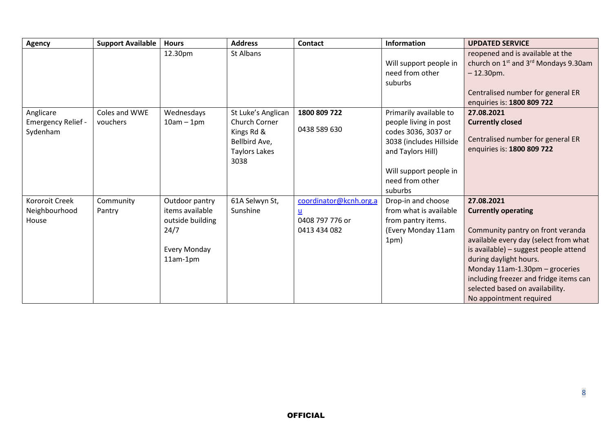| <b>Agency</b>                                      | <b>Support Available</b>  | <b>Hours</b>                                                                                     | <b>Address</b>                                                                                     | <b>Contact</b>                                            | Information                                                                                                                                                                    | <b>UPDATED SERVICE</b>                                                                                                                                                                                                                                                                                                              |
|----------------------------------------------------|---------------------------|--------------------------------------------------------------------------------------------------|----------------------------------------------------------------------------------------------------|-----------------------------------------------------------|--------------------------------------------------------------------------------------------------------------------------------------------------------------------------------|-------------------------------------------------------------------------------------------------------------------------------------------------------------------------------------------------------------------------------------------------------------------------------------------------------------------------------------|
|                                                    |                           | 12.30pm                                                                                          | St Albans                                                                                          |                                                           | Will support people in<br>need from other<br>suburbs                                                                                                                           | reopened and is available at the<br>church on 1 <sup>st</sup> and 3 <sup>rd</sup> Mondays 9.30am<br>$-12.30$ pm.<br>Centralised number for general ER<br>enquiries is: 1800 809 722                                                                                                                                                 |
| Anglicare<br><b>Emergency Relief -</b><br>Sydenham | Coles and WWE<br>vouchers | Wednesdays<br>$10am - 1pm$                                                                       | St Luke's Anglican<br>Church Corner<br>Kings Rd &<br>Bellbird Ave,<br><b>Taylors Lakes</b><br>3038 | 1800 809 722<br>0438 589 630                              | Primarily available to<br>people living in post<br>codes 3036, 3037 or<br>3038 (includes Hillside<br>and Taylors Hill)<br>Will support people in<br>need from other<br>suburbs | 27.08.2021<br><b>Currently closed</b><br>Centralised number for general ER<br>enquiries is: 1800 809 722                                                                                                                                                                                                                            |
| <b>Kororoit Creek</b><br>Neighbourhood<br>House    | Community<br>Pantry       | Outdoor pantry<br>items available<br>outside building<br>24/7<br><b>Every Monday</b><br>11am-1pm | 61A Selwyn St,<br>Sunshine                                                                         | coordinator@kcnh.org.a<br>0408 797 776 or<br>0413 434 082 | Drop-in and choose<br>from what is available<br>from pantry items.<br>(Every Monday 11am<br>1pm)                                                                               | 27.08.2021<br><b>Currently operating</b><br>Community pantry on front veranda<br>available every day (select from what<br>is available) - suggest people attend<br>during daylight hours.<br>Monday 11am-1.30pm - groceries<br>including freezer and fridge items can<br>selected based on availability.<br>No appointment required |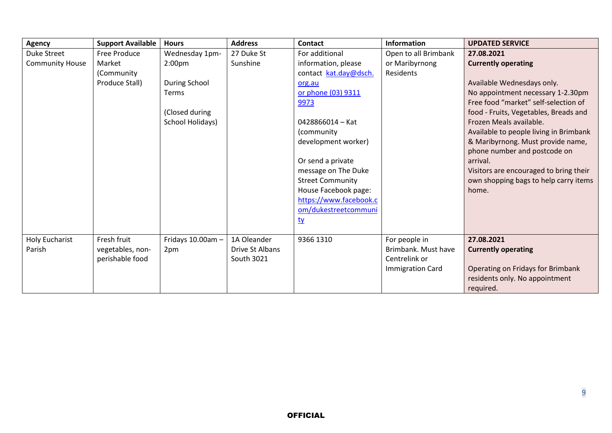| <b>Agency</b>          | <b>Support Available</b> | <b>Hours</b>       | <b>Address</b>  | <b>Contact</b>          | <b>Information</b>      | <b>UPDATED SERVICE</b>                 |
|------------------------|--------------------------|--------------------|-----------------|-------------------------|-------------------------|----------------------------------------|
| Duke Street            | Free Produce             | Wednesday 1pm-     | 27 Duke St      | For additional          | Open to all Brimbank    | 27.08.2021                             |
| <b>Community House</b> | Market                   | 2:00 <sub>pm</sub> | Sunshine        | information, please     | or Maribyrnong          | <b>Currently operating</b>             |
|                        | (Community               |                    |                 | contact kat.day@dsch.   | <b>Residents</b>        |                                        |
|                        | Produce Stall)           | During School      |                 | org.au                  |                         | Available Wednesdays only.             |
|                        |                          | <b>Terms</b>       |                 | or phone (03) 9311      |                         | No appointment necessary 1-2.30pm      |
|                        |                          |                    |                 | 9973                    |                         | Free food "market" self-selection of   |
|                        |                          | (Closed during     |                 |                         |                         | food - Fruits, Vegetables, Breads and  |
|                        |                          | School Holidays)   |                 | 0428866014 - Kat        |                         | Frozen Meals available.                |
|                        |                          |                    |                 | (community              |                         | Available to people living in Brimbank |
|                        |                          |                    |                 | development worker)     |                         | & Maribyrnong. Must provide name,      |
|                        |                          |                    |                 |                         |                         | phone number and postcode on           |
|                        |                          |                    |                 | Or send a private       |                         | arrival.                               |
|                        |                          |                    |                 | message on The Duke     |                         | Visitors are encouraged to bring their |
|                        |                          |                    |                 | <b>Street Community</b> |                         | own shopping bags to help carry items  |
|                        |                          |                    |                 | House Facebook page:    |                         | home.                                  |
|                        |                          |                    |                 | https://www.facebook.c  |                         |                                        |
|                        |                          |                    |                 | om/dukestreetcommuni    |                         |                                        |
|                        |                          |                    |                 | <u>ty</u>               |                         |                                        |
|                        |                          |                    |                 |                         |                         |                                        |
| <b>Holy Eucharist</b>  | Fresh fruit              | Fridays 10.00am -  | 1A Oleander     | 9366 1310               | For people in           | 27.08.2021                             |
| Parish                 | vegetables, non-         | 2pm                | Drive St Albans |                         | Brimbank. Must have     | <b>Currently operating</b>             |
|                        | perishable food          |                    | South 3021      |                         | Centrelink or           |                                        |
|                        |                          |                    |                 |                         | <b>Immigration Card</b> | Operating on Fridays for Brimbank      |
|                        |                          |                    |                 |                         |                         | residents only. No appointment         |
|                        |                          |                    |                 |                         |                         | required.                              |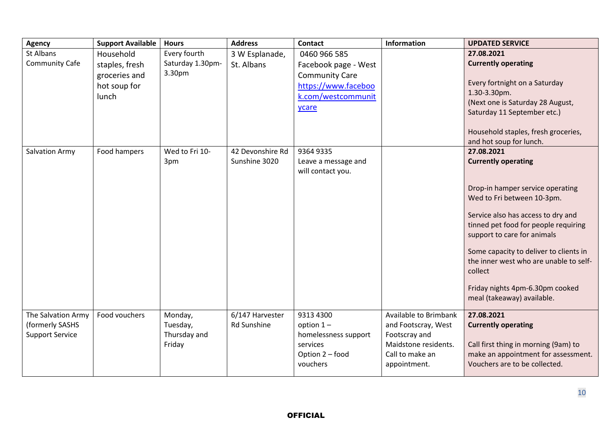| <b>Agency</b>          | <b>Support Available</b> | <b>Hours</b>     | <b>Address</b>   | <b>Contact</b>                           | Information                             | <b>UPDATED SERVICE</b>                                                      |
|------------------------|--------------------------|------------------|------------------|------------------------------------------|-----------------------------------------|-----------------------------------------------------------------------------|
| St Albans              | Household                | Every fourth     | 3 W Esplanade,   | 0460 966 585                             |                                         | 27.08.2021                                                                  |
| <b>Community Cafe</b>  | staples, fresh           | Saturday 1.30pm- | St. Albans       | Facebook page - West                     |                                         | <b>Currently operating</b>                                                  |
|                        | groceries and            | 3.30pm           |                  | <b>Community Care</b>                    |                                         | Every fortnight on a Saturday                                               |
|                        | hot soup for             |                  |                  | https://www.faceboo                      |                                         | 1.30-3.30pm.                                                                |
|                        | lunch                    |                  |                  | k.com/westcommunit                       |                                         | (Next one is Saturday 28 August,                                            |
|                        |                          |                  |                  | ycare                                    |                                         | Saturday 11 September etc.)                                                 |
|                        |                          |                  |                  |                                          |                                         | Household staples, fresh groceries,                                         |
|                        |                          |                  |                  |                                          |                                         | and hot soup for lunch.                                                     |
| Salvation Army         | Food hampers             | Wed to Fri 10-   | 42 Devonshire Rd | 9364 9335                                |                                         | 27.08.2021                                                                  |
|                        |                          | 3pm              | Sunshine 3020    | Leave a message and<br>will contact you. |                                         | <b>Currently operating</b>                                                  |
|                        |                          |                  |                  |                                          |                                         |                                                                             |
|                        |                          |                  |                  |                                          |                                         | Drop-in hamper service operating                                            |
|                        |                          |                  |                  |                                          |                                         | Wed to Fri between 10-3pm.                                                  |
|                        |                          |                  |                  |                                          |                                         | Service also has access to dry and                                          |
|                        |                          |                  |                  |                                          |                                         | tinned pet food for people requiring                                        |
|                        |                          |                  |                  |                                          |                                         | support to care for animals                                                 |
|                        |                          |                  |                  |                                          |                                         | Some capacity to deliver to clients in                                      |
|                        |                          |                  |                  |                                          |                                         | the inner west who are unable to self-                                      |
|                        |                          |                  |                  |                                          |                                         | collect                                                                     |
|                        |                          |                  |                  |                                          |                                         | Friday nights 4pm-6.30pm cooked                                             |
|                        |                          |                  |                  |                                          |                                         | meal (takeaway) available.                                                  |
| The Salvation Army     | Food vouchers            | Monday,          | 6/147 Harvester  | 9313 4300                                | Available to Brimbank                   | 27.08.2021                                                                  |
| (formerly SASHS        |                          | Tuesday,         | Rd Sunshine      | option $1 -$                             | and Footscray, West                     | <b>Currently operating</b>                                                  |
| <b>Support Service</b> |                          | Thursday and     |                  | homelessness support                     | Footscray and                           |                                                                             |
|                        |                          | Friday           |                  | services<br>Option 2 - food              | Maidstone residents.<br>Call to make an | Call first thing in morning (9am) to<br>make an appointment for assessment. |
|                        |                          |                  |                  | vouchers                                 | appointment.                            | Vouchers are to be collected.                                               |
|                        |                          |                  |                  |                                          |                                         |                                                                             |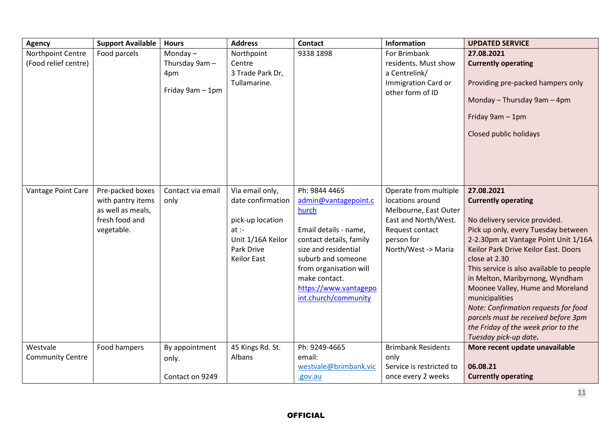| <b>Agency</b>           | <b>Support Available</b> | <b>Hours</b>      | <b>Address</b>     | <b>Contact</b>          | <b>Information</b>                      | <b>UPDATED SERVICE</b>                   |
|-------------------------|--------------------------|-------------------|--------------------|-------------------------|-----------------------------------------|------------------------------------------|
| Northpoint Centre       | Food parcels             | Monday $-$        | Northpoint         | 9338 1898               | For Brimbank                            | 27.08.2021                               |
| (Food relief centre)    |                          | Thursday 9am -    | Centre             |                         | residents. Must show                    | <b>Currently operating</b>               |
|                         |                          | 4pm               | 3 Trade Park Dr,   |                         | a Centrelink/                           |                                          |
|                         |                          | Friday 9am - 1pm  | Tullamarine.       |                         | Immigration Card or<br>other form of ID | Providing pre-packed hampers only        |
|                         |                          |                   |                    |                         |                                         | Monday - Thursday 9am - 4pm              |
|                         |                          |                   |                    |                         |                                         | Friday 9am - 1pm                         |
|                         |                          |                   |                    |                         |                                         | Closed public holidays                   |
|                         |                          |                   |                    |                         |                                         |                                          |
|                         |                          |                   |                    |                         |                                         |                                          |
|                         |                          |                   |                    |                         |                                         |                                          |
| Vantage Point Care      | Pre-packed boxes         | Contact via email | Via email only,    | Ph: 9844 4465           | Operate from multiple                   | 27.08.2021                               |
|                         | with pantry items        | only              | date confirmation  | admin@vantagepoint.c    | locations around                        | <b>Currently operating</b>               |
|                         | as well as meals,        |                   |                    | hurch                   | Melbourne, East Outer                   |                                          |
|                         | fresh food and           |                   | pick-up location   |                         | East and North/West.                    | No delivery service provided.            |
|                         | vegetable.               |                   | $at$ :-            | Email details - name,   | Request contact                         | Pick up only, every Tuesday between      |
|                         |                          |                   | Unit 1/16A Keilor  | contact details, family | person for                              | 2-2.30pm at Vantage Point Unit 1/16A     |
|                         |                          |                   | Park Drive         | size and residential    | North/West -> Maria                     | Keilor Park Drive Keilor East. Doors     |
|                         |                          |                   | <b>Keilor East</b> | suburb and someone      |                                         | close at 2.30                            |
|                         |                          |                   |                    | from organisation will  |                                         | This service is also available to people |
|                         |                          |                   |                    | make contact.           |                                         | in Melton, Maribyrnong, Wyndham          |
|                         |                          |                   |                    | https://www.vantagepo   |                                         | Moonee Valley, Hume and Moreland         |
|                         |                          |                   |                    | int.church/community    |                                         | municipalities                           |
|                         |                          |                   |                    |                         |                                         | Note: Confirmation requests for food     |
|                         |                          |                   |                    |                         |                                         | parcels must be received before 3pm      |
|                         |                          |                   |                    |                         |                                         | the Friday of the week prior to the      |
|                         |                          |                   |                    |                         |                                         | Tuesday pick-up date.                    |
| Westvale                | Food hampers             | By appointment    | 45 Kings Rd. St.   | Ph: 9249-4665           | <b>Brimbank Residents</b>               | More recent update unavailable           |
| <b>Community Centre</b> |                          | only.             | Albans             | email:                  | only                                    |                                          |
|                         |                          |                   |                    | westvale@brimbank.vic   | Service is restricted to                | 06.08.21                                 |
|                         |                          | Contact on 9249   |                    | .gov.au                 | once every 2 weeks                      | <b>Currently operating</b>               |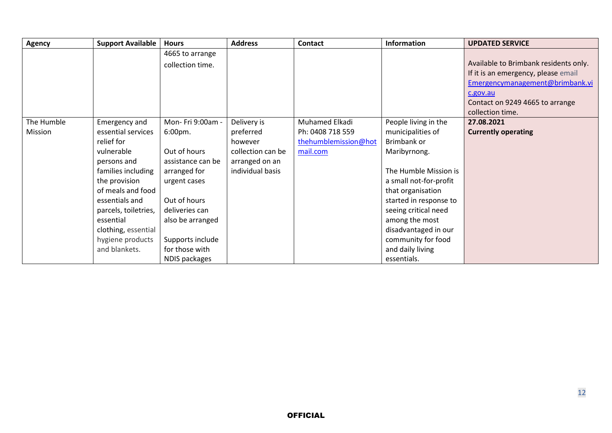| <b>Agency</b> | <b>Support Available</b> | <b>Hours</b>      | <b>Address</b>    | Contact              | <b>Information</b>     | <b>UPDATED SERVICE</b>                |
|---------------|--------------------------|-------------------|-------------------|----------------------|------------------------|---------------------------------------|
|               |                          | 4665 to arrange   |                   |                      |                        |                                       |
|               |                          | collection time.  |                   |                      |                        | Available to Brimbank residents only. |
|               |                          |                   |                   |                      |                        | If it is an emergency, please email   |
|               |                          |                   |                   |                      |                        | Emergencymanagement@brimbank.vi       |
|               |                          |                   |                   |                      |                        | c.gov.au                              |
|               |                          |                   |                   |                      |                        | Contact on 9249 4665 to arrange       |
|               |                          |                   |                   |                      |                        | collection time.                      |
| The Humble    | Emergency and            | Mon- Fri 9:00am - | Delivery is       | Muhamed Elkadi       | People living in the   | 27.08.2021                            |
| Mission       | essential services       | 6:00pm.           | preferred         | Ph: 0408 718 559     | municipalities of      | <b>Currently operating</b>            |
|               | relief for               |                   | however           | thehumblemission@hot | Brimbank or            |                                       |
|               | vulnerable               | Out of hours      | collection can be | mail.com             | Maribyrnong.           |                                       |
|               | persons and              | assistance can be | arranged on an    |                      |                        |                                       |
|               | families including       | arranged for      | individual basis  |                      | The Humble Mission is  |                                       |
|               | the provision            | urgent cases      |                   |                      | a small not-for-profit |                                       |
|               | of meals and food        |                   |                   |                      | that organisation      |                                       |
|               | essentials and           | Out of hours      |                   |                      | started in response to |                                       |
|               | parcels, toiletries,     | deliveries can    |                   |                      | seeing critical need   |                                       |
|               | essential                | also be arranged  |                   |                      | among the most         |                                       |
|               | clothing, essential      |                   |                   |                      | disadvantaged in our   |                                       |
|               | hygiene products         | Supports include  |                   |                      | community for food     |                                       |
|               | and blankets.            | for those with    |                   |                      | and daily living       |                                       |
|               |                          | NDIS packages     |                   |                      | essentials.            |                                       |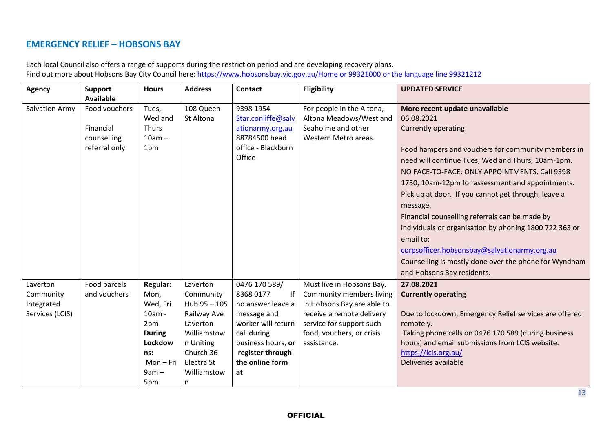## **EMERGENCY RELIEF – HOBSONS BAY**

| Each local Council also offers a range of supports during the restriction period and are developing recovery plans.                 |
|-------------------------------------------------------------------------------------------------------------------------------------|
| Find out more about Hobsons Bay City Council here: https://www.hobsonsbay.vic.gov.au/Home or 99321000 or the language line 99321212 |

| <b>Agency</b>         | Support          | <b>Hours</b>    | <b>Address</b> | <b>Contact</b>     | Eligibility                | <b>UPDATED SERVICE</b>                                 |
|-----------------------|------------------|-----------------|----------------|--------------------|----------------------------|--------------------------------------------------------|
|                       | <b>Available</b> |                 |                |                    |                            |                                                        |
| <b>Salvation Army</b> | Food vouchers    | Tues,           | 108 Queen      | 9398 1954          | For people in the Altona,  | More recent update unavailable                         |
|                       |                  | Wed and         | St Altona      | Star.conliffe@salv | Altona Meadows/West and    | 06.08.2021                                             |
|                       | Financial        | Thurs           |                | ationarmy.org.au   | Seaholme and other         | <b>Currently operating</b>                             |
|                       | counselling      | $10am -$        |                | 88784500 head      | Western Metro areas.       |                                                        |
|                       | referral only    | 1pm             |                | office - Blackburn |                            | Food hampers and vouchers for community members in     |
|                       |                  |                 |                | Office             |                            | need will continue Tues, Wed and Thurs, 10am-1pm.      |
|                       |                  |                 |                |                    |                            | NO FACE-TO-FACE: ONLY APPOINTMENTS. Call 9398          |
|                       |                  |                 |                |                    |                            | 1750, 10am-12pm for assessment and appointments.       |
|                       |                  |                 |                |                    |                            | Pick up at door. If you cannot get through, leave a    |
|                       |                  |                 |                |                    |                            | message.                                               |
|                       |                  |                 |                |                    |                            | Financial counselling referrals can be made by         |
|                       |                  |                 |                |                    |                            | individuals or organisation by phoning 1800 722 363 or |
|                       |                  |                 |                |                    |                            | email to:                                              |
|                       |                  |                 |                |                    |                            | corpsofficer.hobsonsbay@salvationarmy.org.au           |
|                       |                  |                 |                |                    |                            | Counselling is mostly done over the phone for Wyndham  |
|                       |                  |                 |                |                    |                            | and Hobsons Bay residents.                             |
| Laverton              | Food parcels     | <b>Regular:</b> | Laverton       | 0476 170 589/      | Must live in Hobsons Bay.  | 27.08.2021                                             |
| Community             | and vouchers     | Mon,            | Community      | 83680177<br>-lf    | Community members living   | <b>Currently operating</b>                             |
| Integrated            |                  | Wed, Fri        | Hub 95 - 105   | no answer leave a  | in Hobsons Bay are able to |                                                        |
| Services (LCIS)       |                  | 10am -          | Railway Ave    | message and        | receive a remote delivery  | Due to lockdown, Emergency Relief services are offered |
|                       |                  | 2pm             | Laverton       | worker will return | service for support such   | remotely.                                              |
|                       |                  | <b>During</b>   | Williamstow    | call during        | food, vouchers, or crisis  | Taking phone calls on 0476 170 589 (during business    |
|                       |                  | Lockdow         | n Uniting      | business hours, or | assistance.                | hours) and email submissions from LCIS website.        |
|                       |                  | ns:             | Church 36      | register through   |                            | https://lcis.org.au/                                   |
|                       |                  | Mon-Fri         | Electra St     | the online form    |                            | Deliveries available                                   |
|                       |                  | $9am -$         | Williamstow    | at                 |                            |                                                        |
|                       |                  | 5pm             | n              |                    |                            |                                                        |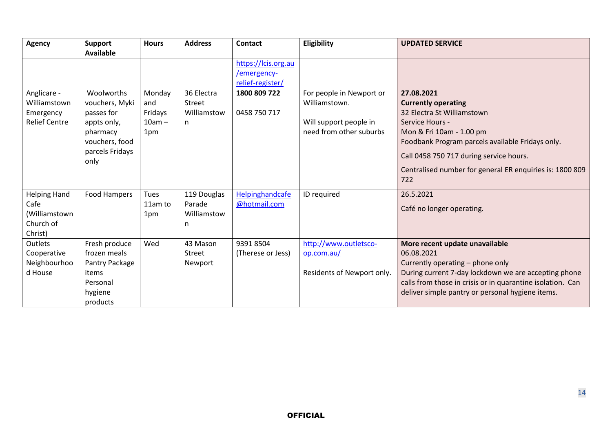| <b>Agency</b>                                                        | <b>Support</b><br><b>Available</b>                                                                                 | <b>Hours</b>                                | <b>Address</b>                            | <b>Contact</b>                                         | Eligibility                                                                                    | <b>UPDATED SERVICE</b>                                                                                                                                                                                                                                                                  |
|----------------------------------------------------------------------|--------------------------------------------------------------------------------------------------------------------|---------------------------------------------|-------------------------------------------|--------------------------------------------------------|------------------------------------------------------------------------------------------------|-----------------------------------------------------------------------------------------------------------------------------------------------------------------------------------------------------------------------------------------------------------------------------------------|
|                                                                      |                                                                                                                    |                                             |                                           | https://lcis.org.au<br>/emergency-<br>relief-register/ |                                                                                                |                                                                                                                                                                                                                                                                                         |
| Anglicare -<br>Williamstown<br>Emergency<br><b>Relief Centre</b>     | Woolworths<br>vouchers, Myki<br>passes for<br>appts only,<br>pharmacy<br>vouchers, food<br>parcels Fridays<br>only | Monday<br>and<br>Fridays<br>$10am -$<br>1pm | 36 Electra<br>Street<br>Williamstow<br>n. | 1800 809 722<br>0458 750 717                           | For people in Newport or<br>Williamstown.<br>Will support people in<br>need from other suburbs | 27.08.2021<br><b>Currently operating</b><br>32 Electra St Williamstown<br>Service Hours -<br>Mon & Fri 10am - 1.00 pm<br>Foodbank Program parcels available Fridays only.<br>Call 0458 750 717 during service hours.<br>Centralised number for general ER enquiries is: 1800 809<br>722 |
| <b>Helping Hand</b><br>Cafe<br>(Williamstown<br>Church of<br>Christ) | Food Hampers                                                                                                       | Tues<br>11am to<br>1pm                      | 119 Douglas<br>Parade<br>Williamstow<br>n | Helpinghandcafe<br>@hotmail.com                        | ID required                                                                                    | 26.5.2021<br>Café no longer operating.                                                                                                                                                                                                                                                  |
| Outlets<br>Cooperative<br>Neighbourhoo<br>d House                    | Fresh produce<br>frozen meals<br>Pantry Package<br>items<br>Personal<br>hygiene<br>products                        | Wed                                         | 43 Mason<br>Street<br>Newport             | 9391 8504<br>(Therese or Jess)                         | http://www.outletsco-<br>op.com.au/<br>Residents of Newport only.                              | More recent update unavailable<br>06.08.2021<br>Currently operating - phone only<br>During current 7-day lockdown we are accepting phone<br>calls from those in crisis or in quarantine isolation. Can<br>deliver simple pantry or personal hygiene items.                              |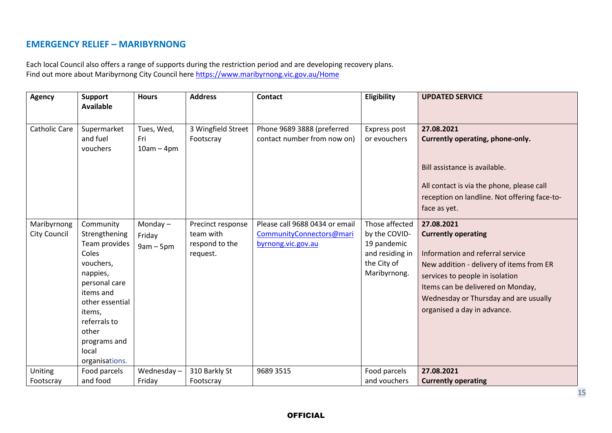### **EMERGENCY RELIEF – MARIBYRNONG**

Each local Council also offers a range of supports during the restriction period and are developing recovery plans. Find out more about Maribyrnong City Council here <https://www.maribyrnong.vic.gov.au/Home>

| <b>Agency</b>                      | <b>Support</b><br><b>Available</b>                                                                                                                                                                           | <b>Hours</b>                        | <b>Address</b>                                               | <b>Contact</b>                                                                   | Eligibility                                                                                      | <b>UPDATED SERVICE</b>                                                                                                                                                                                                                                                   |
|------------------------------------|--------------------------------------------------------------------------------------------------------------------------------------------------------------------------------------------------------------|-------------------------------------|--------------------------------------------------------------|----------------------------------------------------------------------------------|--------------------------------------------------------------------------------------------------|--------------------------------------------------------------------------------------------------------------------------------------------------------------------------------------------------------------------------------------------------------------------------|
| Catholic Care                      | Supermarket<br>and fuel<br>vouchers                                                                                                                                                                          | Tues, Wed,<br>Fri<br>$10am - 4pm$   | 3 Wingfield Street<br>Footscray                              | Phone 9689 3888 (preferred<br>contact number from now on)                        | Express post<br>or evouchers                                                                     | 27.08.2021<br>Currently operating, phone-only.<br>Bill assistance is available.<br>All contact is via the phone, please call<br>reception on landline. Not offering face-to-<br>face as yet.                                                                             |
| Maribyrnong<br><b>City Council</b> | Community<br>Strengthening<br>Team provides<br>Coles<br>vouchers,<br>nappies,<br>personal care<br>items and<br>other essential<br>items,<br>referrals to<br>other<br>programs and<br>local<br>organisations. | Monday $-$<br>Friday<br>$9am - 5pm$ | Precinct response<br>team with<br>respond to the<br>request. | Please call 9688 0434 or email<br>CommunityConnectors@mari<br>byrnong.vic.gov.au | Those affected<br>by the COVID-<br>19 pandemic<br>and residing in<br>the City of<br>Maribyrnong. | 27.08.2021<br><b>Currently operating</b><br>Information and referral service<br>New addition - delivery of items from ER<br>services to people in isolation<br>Items can be delivered on Monday,<br>Wednesday or Thursday and are usually<br>organised a day in advance. |
| Uniting<br>Footscray               | Food parcels<br>and food                                                                                                                                                                                     | Wednesday-<br>Friday                | 310 Barkly St<br>Footscray                                   | 9689 3515                                                                        | Food parcels<br>and vouchers                                                                     | 27.08.2021<br><b>Currently operating</b>                                                                                                                                                                                                                                 |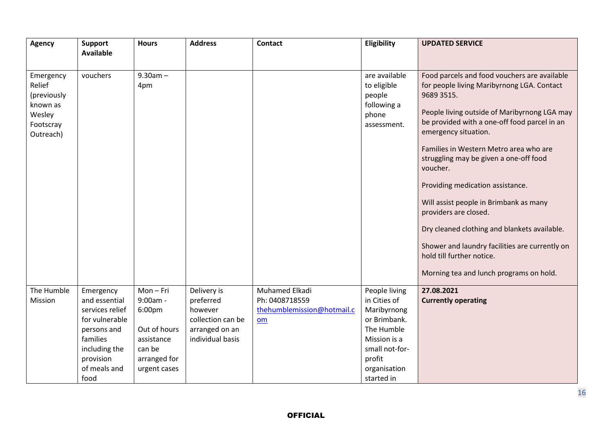| <b>Agency</b>                                                                      | <b>Support</b><br><b>Available</b>                                                                                                               | <b>Hours</b>                                                                                          | <b>Address</b>                                                                                 | <b>Contact</b>                                                       | Eligibility                                                                                                                                          | <b>UPDATED SERVICE</b>                                                                                                                                                                                                                                                                                                                                                                                                                                                                                                                                                                                            |
|------------------------------------------------------------------------------------|--------------------------------------------------------------------------------------------------------------------------------------------------|-------------------------------------------------------------------------------------------------------|------------------------------------------------------------------------------------------------|----------------------------------------------------------------------|------------------------------------------------------------------------------------------------------------------------------------------------------|-------------------------------------------------------------------------------------------------------------------------------------------------------------------------------------------------------------------------------------------------------------------------------------------------------------------------------------------------------------------------------------------------------------------------------------------------------------------------------------------------------------------------------------------------------------------------------------------------------------------|
| Emergency<br>Relief<br>(previously<br>known as<br>Wesley<br>Footscray<br>Outreach) | vouchers                                                                                                                                         | $9.30am -$<br>4pm                                                                                     |                                                                                                |                                                                      | are available<br>to eligible<br>people<br>following a<br>phone<br>assessment.                                                                        | Food parcels and food vouchers are available<br>for people living Maribyrnong LGA. Contact<br>9689 3515.<br>People living outside of Maribyrnong LGA may<br>be provided with a one-off food parcel in an<br>emergency situation.<br>Families in Western Metro area who are<br>struggling may be given a one-off food<br>voucher.<br>Providing medication assistance.<br>Will assist people in Brimbank as many<br>providers are closed.<br>Dry cleaned clothing and blankets available.<br>Shower and laundry facilities are currently on<br>hold till further notice.<br>Morning tea and lunch programs on hold. |
| The Humble<br>Mission                                                              | Emergency<br>and essential<br>services relief<br>for vulnerable<br>persons and<br>families<br>including the<br>provision<br>of meals and<br>food | Mon-Fri<br>9:00am -<br>6:00pm<br>Out of hours<br>assistance<br>can be<br>arranged for<br>urgent cases | Delivery is<br>preferred<br>however<br>collection can be<br>arranged on an<br>individual basis | Muhamed Elkadi<br>Ph: 0408718559<br>thehumblemission@hotmail.c<br>om | People living<br>in Cities of<br>Maribyrnong<br>or Brimbank.<br>The Humble<br>Mission is a<br>small not-for-<br>profit<br>organisation<br>started in | 27.08.2021<br><b>Currently operating</b>                                                                                                                                                                                                                                                                                                                                                                                                                                                                                                                                                                          |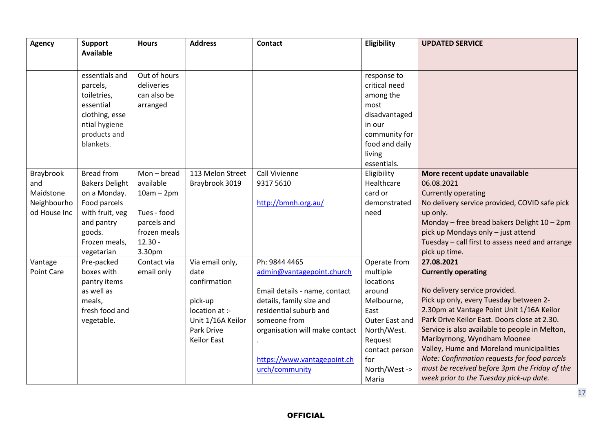| <b>Agency</b> | <b>Support</b><br><b>Available</b> | <b>Hours</b>  | <b>Address</b>     | <b>Contact</b>                 | Eligibility    | <b>UPDATED SERVICE</b>                          |
|---------------|------------------------------------|---------------|--------------------|--------------------------------|----------------|-------------------------------------------------|
|               |                                    |               |                    |                                |                |                                                 |
|               | essentials and                     | Out of hours  |                    |                                | response to    |                                                 |
|               | parcels,                           | deliveries    |                    |                                | critical need  |                                                 |
|               | toiletries,                        | can also be   |                    |                                | among the      |                                                 |
|               | essential                          | arranged      |                    |                                | most           |                                                 |
|               | clothing, esse                     |               |                    |                                | disadvantaged  |                                                 |
|               | ntial hygiene                      |               |                    |                                | in our         |                                                 |
|               | products and                       |               |                    |                                | community for  |                                                 |
|               | blankets.                          |               |                    |                                | food and daily |                                                 |
|               |                                    |               |                    |                                | living         |                                                 |
|               |                                    |               |                    |                                | essentials.    |                                                 |
| Braybrook     | <b>Bread from</b>                  | $Mon - bread$ | 113 Melon Street   | Call Vivienne                  | Eligibility    | More recent update unavailable                  |
| and           | <b>Bakers Delight</b>              | available     | Braybrook 3019     | 9317 5610                      | Healthcare     | 06.08.2021                                      |
| Maidstone     | on a Monday.                       | $10am - 2pm$  |                    |                                | card or        | <b>Currently operating</b>                      |
| Neighbourho   | Food parcels                       |               |                    | http://bmnh.org.au/            | demonstrated   | No delivery service provided, COVID safe pick   |
| od House Inc  | with fruit, veg                    | Tues - food   |                    |                                | need           | up only.                                        |
|               | and pantry                         | parcels and   |                    |                                |                | Monday - free bread bakers Delight 10 - 2pm     |
|               | goods.                             | frozen meals  |                    |                                |                | pick up Mondays only - just attend              |
|               | Frozen meals,                      | $12.30 -$     |                    |                                |                | Tuesday - call first to assess need and arrange |
|               | vegetarian                         | 3.30pm        |                    |                                |                | pick up time.                                   |
| Vantage       | Pre-packed                         | Contact via   | Via email only,    | Ph: 9844 4465                  | Operate from   | 27.08.2021                                      |
| Point Care    | boxes with                         | email only    | date               | admin@vantagepoint.church      | multiple       | <b>Currently operating</b>                      |
|               | pantry items                       |               | confirmation       |                                | locations      |                                                 |
|               | as well as                         |               |                    | Email details - name, contact  | around         | No delivery service provided.                   |
|               | meals,                             |               | pick-up            | details, family size and       | Melbourne,     | Pick up only, every Tuesday between 2-          |
|               | fresh food and                     |               | location at :-     | residential suburb and         | East           | 2.30pm at Vantage Point Unit 1/16A Keilor       |
|               | vegetable.                         |               | Unit 1/16A Keilor  | someone from                   | Outer East and | Park Drive Keilor East. Doors close at 2.30.    |
|               |                                    |               | Park Drive         | organisation will make contact | North/West.    | Service is also available to people in Melton,  |
|               |                                    |               | <b>Keilor East</b> |                                | Request        | Maribyrnong, Wyndham Moonee                     |
|               |                                    |               |                    |                                | contact person | Valley, Hume and Moreland municipalities        |
|               |                                    |               |                    | https://www.vantagepoint.ch    | for            | Note: Confirmation requests for food parcels    |
|               |                                    |               |                    | urch/community                 | North/West ->  | must be received before 3pm the Friday of the   |
|               |                                    |               |                    |                                | Maria          | week prior to the Tuesday pick-up date.         |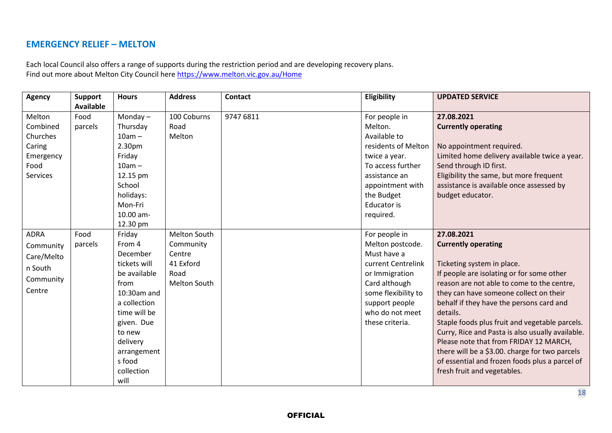## **EMERGENCY RELIEF – MELTON**

Each local Council also offers a range of supports during the restriction period and are developing recovery plans. Find out more about Melton City Council here <https://www.melton.vic.gov.au/Home>

| <b>Agency</b> | <b>Support</b>   | <b>Hours</b> | <b>Address</b> | <b>Contact</b> | Eligibility         | <b>UPDATED SERVICE</b>                           |
|---------------|------------------|--------------|----------------|----------------|---------------------|--------------------------------------------------|
|               | <b>Available</b> |              |                |                |                     |                                                  |
| Melton        | Food             | Monday $-$   | 100 Coburns    | 9747 6811      | For people in       | 27.08.2021                                       |
| Combined      | parcels          | Thursday     | Road           |                | Melton.             | <b>Currently operating</b>                       |
| Churches      |                  | $10am -$     | Melton         |                | Available to        |                                                  |
| Caring        |                  | 2.30pm       |                |                | residents of Melton | No appointment required.                         |
| Emergency     |                  | Friday       |                |                | twice a year.       | Limited home delivery available twice a year.    |
| Food          |                  | $10am -$     |                |                | To access further   | Send through ID first.                           |
| Services      |                  | 12.15 pm     |                |                | assistance an       | Eligibility the same, but more frequent          |
|               |                  | School       |                |                | appointment with    | assistance is available once assessed by         |
|               |                  | holidays:    |                |                | the Budget          | budget educator.                                 |
|               |                  | Mon-Fri      |                |                | Educator is         |                                                  |
|               |                  | 10.00 am-    |                |                | required.           |                                                  |
|               |                  | 12.30 pm     |                |                |                     |                                                  |
| <b>ADRA</b>   | Food             | Friday       | Melton South   |                | For people in       | 27.08.2021                                       |
| Community     | parcels          | From 4       | Community      |                | Melton postcode.    | <b>Currently operating</b>                       |
| Care/Melto    |                  | December     | Centre         |                | Must have a         |                                                  |
| n South       |                  | tickets will | 41 Exford      |                | current Centrelink  | Ticketing system in place.                       |
|               |                  | be available | Road           |                | or Immigration      | If people are isolating or for some other        |
| Community     |                  | from         | Melton South   |                | Card although       | reason are not able to come to the centre,       |
| Centre        |                  | 10:30am and  |                |                | some flexibility to | they can have someone collect on their           |
|               |                  | a collection |                |                | support people      | behalf if they have the persons card and         |
|               |                  | time will be |                |                | who do not meet     | details.                                         |
|               |                  | given. Due   |                |                | these criteria.     | Staple foods plus fruit and vegetable parcels.   |
|               |                  | to new       |                |                |                     | Curry, Rice and Pasta is also usually available. |
|               |                  | delivery     |                |                |                     | Please note that from FRIDAY 12 MARCH,           |
|               |                  | arrangement  |                |                |                     | there will be a \$3.00. charge for two parcels   |
|               |                  | s food       |                |                |                     | of essential and frozen foods plus a parcel of   |
|               |                  | collection   |                |                |                     | fresh fruit and vegetables.                      |
|               |                  | will         |                |                |                     |                                                  |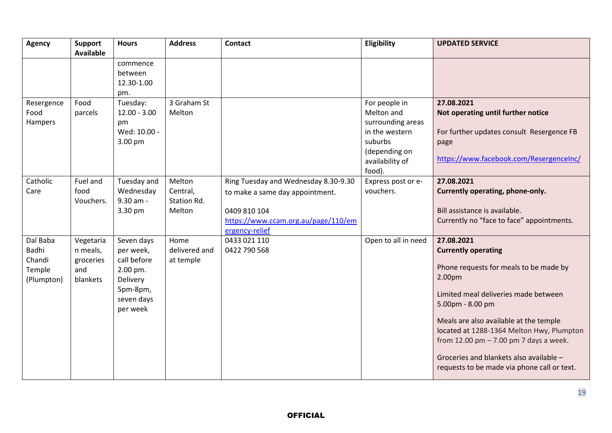| <b>Agency</b>                                       | <b>Support</b><br><b>Available</b>                    | <b>Hours</b>                                                                                         | <b>Address</b>                              | <b>Contact</b>                                                                                                                                   | Eligibility                                                                                                                 | <b>UPDATED SERVICE</b>                                                                                                                                                                                                                                                                                                                                                                |
|-----------------------------------------------------|-------------------------------------------------------|------------------------------------------------------------------------------------------------------|---------------------------------------------|--------------------------------------------------------------------------------------------------------------------------------------------------|-----------------------------------------------------------------------------------------------------------------------------|---------------------------------------------------------------------------------------------------------------------------------------------------------------------------------------------------------------------------------------------------------------------------------------------------------------------------------------------------------------------------------------|
|                                                     |                                                       | commence<br>between<br>12.30-1.00<br>pm.                                                             |                                             |                                                                                                                                                  |                                                                                                                             |                                                                                                                                                                                                                                                                                                                                                                                       |
| Resergence<br>Food<br>Hampers                       | Food<br>parcels                                       | Tuesday:<br>$12.00 - 3.00$<br>pm<br>Wed: 10.00 -<br>3.00 pm                                          | 3 Graham St<br>Melton                       |                                                                                                                                                  | For people in<br>Melton and<br>surrounding areas<br>in the western<br>suburbs<br>(depending on<br>availability of<br>food). | 27.08.2021<br>Not operating until further notice<br>For further updates consult Resergence FB<br>page<br>https://www.facebook.com/ResergenceInc/                                                                                                                                                                                                                                      |
| Catholic<br>Care                                    | Fuel and<br>food<br>Vouchers.                         | Tuesday and<br>Wednesday<br>9.30 am -<br>3.30 pm                                                     | Melton<br>Central,<br>Station Rd.<br>Melton | Ring Tuesday and Wednesday 8.30-9.30<br>to make a same day appointment.<br>0409 810 104<br>https://www.ccam.org.au/page/110/em<br>ergency-relief | Express post or e-<br>vouchers.                                                                                             | 27.08.2021<br>Currently operating, phone-only.<br>Bill assistance is available.<br>Currently no "face to face" appointments.                                                                                                                                                                                                                                                          |
| Dal Baba<br>Badhi<br>Chandi<br>Temple<br>(Plumpton) | Vegetaria<br>n meals,<br>groceries<br>and<br>blankets | Seven days<br>per week,<br>call before<br>2.00 pm.<br>Delivery<br>5pm-8pm,<br>seven days<br>per week | Home<br>delivered and<br>at temple          | 0433 021 110<br>0422 790 568                                                                                                                     | Open to all in need                                                                                                         | 27.08.2021<br><b>Currently operating</b><br>Phone requests for meals to be made by<br>2.00pm<br>Limited meal deliveries made between<br>5.00pm - 8.00 pm<br>Meals are also available at the temple<br>located at 1288-1364 Melton Hwy, Plumpton<br>from 12.00 pm $- 7.00$ pm 7 days a week.<br>Groceries and blankets also available -<br>requests to be made via phone call or text. |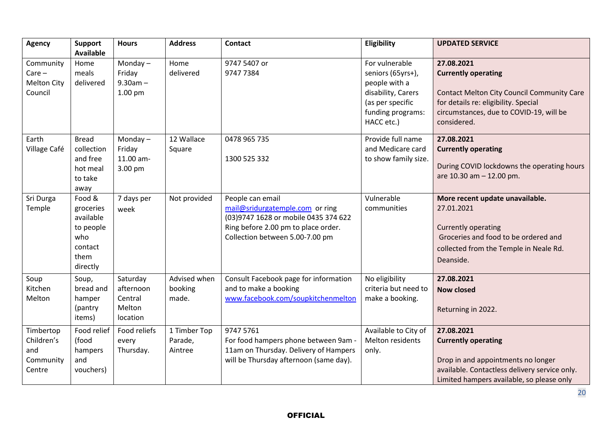| <b>Agency</b>                                          | <b>Support</b><br><b>Available</b>                                                  | <b>Hours</b>                                           | <b>Address</b>                     | <b>Contact</b>                                                                                                                                                         | Eligibility                                                                                                                       | <b>UPDATED SERVICE</b>                                                                                                                                                                          |
|--------------------------------------------------------|-------------------------------------------------------------------------------------|--------------------------------------------------------|------------------------------------|------------------------------------------------------------------------------------------------------------------------------------------------------------------------|-----------------------------------------------------------------------------------------------------------------------------------|-------------------------------------------------------------------------------------------------------------------------------------------------------------------------------------------------|
| Community<br>$Care -$<br><b>Melton City</b><br>Council | Home<br>meals<br>delivered                                                          | Monday $-$<br>Friday<br>$9.30am -$<br>$1.00$ pm        | Home<br>delivered                  | 9747 5407 or<br>9747 7384                                                                                                                                              | For vulnerable<br>seniors (65yrs+),<br>people with a<br>disability, Carers<br>(as per specific<br>funding programs:<br>HACC etc.) | 27.08.2021<br><b>Currently operating</b><br><b>Contact Melton City Council Community Care</b><br>for details re: eligibility. Special<br>circumstances, due to COVID-19, will be<br>considered. |
| Earth<br>Village Café                                  | <b>Bread</b><br>collection<br>and free<br>hot meal<br>to take<br>away               | Monday $-$<br>Friday<br>11.00 am-<br>3.00 pm           | 12 Wallace<br>Square               | 0478 965 735<br>1300 525 332                                                                                                                                           | Provide full name<br>and Medicare card<br>to show family size.                                                                    | 27.08.2021<br><b>Currently operating</b><br>During COVID lockdowns the operating hours<br>are $10.30$ am $- 12.00$ pm.                                                                          |
| Sri Durga<br>Temple                                    | Food &<br>groceries<br>available<br>to people<br>who<br>contact<br>them<br>directly | 7 days per<br>week                                     | Not provided                       | People can email<br>mail@sridurgatemple.com or ring<br>(03) 9747 1628 or mobile 0435 374 622<br>Ring before 2.00 pm to place order.<br>Collection between 5.00-7.00 pm | Vulnerable<br>communities                                                                                                         | More recent update unavailable.<br>27.01.2021<br><b>Currently operating</b><br>Groceries and food to be ordered and<br>collected from the Temple in Neale Rd.<br>Deanside.                      |
| Soup<br>Kitchen<br>Melton                              | Soup,<br>bread and<br>hamper<br>(pantry<br>items)                                   | Saturday<br>afternoon<br>Central<br>Melton<br>location | Advised when<br>booking<br>made.   | Consult Facebook page for information<br>and to make a booking<br>www.facebook.com/soupkitchenmelton                                                                   | No eligibility<br>criteria but need to<br>make a booking.                                                                         | 27.08.2021<br><b>Now closed</b><br>Returning in 2022.                                                                                                                                           |
| Timbertop<br>Children's<br>and<br>Community<br>Centre  | Food relief<br>(food<br>hampers<br>and<br>vouchers)                                 | Food reliefs<br>every<br>Thursday.                     | 1 Timber Top<br>Parade,<br>Aintree | 9747 5761<br>For food hampers phone between 9am -<br>11am on Thursday. Delivery of Hampers<br>will be Thursday afternoon (same day).                                   | Available to City of<br>Melton residents<br>only.                                                                                 | 27.08.2021<br><b>Currently operating</b><br>Drop in and appointments no longer<br>available. Contactless delivery service only.<br>Limited hampers available, so please only                    |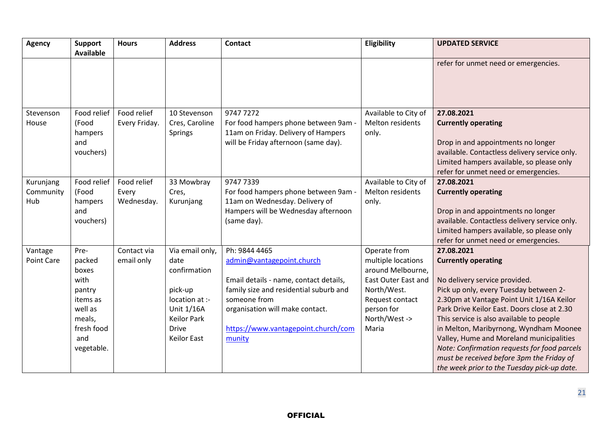| <b>Agency</b>                 | <b>Support</b><br><b>Available</b>                                                                            | <b>Hours</b>                       | <b>Address</b>                                                                                                                          | <b>Contact</b>                                                                                                                                                                                                                     | Eligibility                                                                                                                                              | <b>UPDATED SERVICE</b>                                                                                                                                                                                                                                                                                                                                                                                                                                                                        |
|-------------------------------|---------------------------------------------------------------------------------------------------------------|------------------------------------|-----------------------------------------------------------------------------------------------------------------------------------------|------------------------------------------------------------------------------------------------------------------------------------------------------------------------------------------------------------------------------------|----------------------------------------------------------------------------------------------------------------------------------------------------------|-----------------------------------------------------------------------------------------------------------------------------------------------------------------------------------------------------------------------------------------------------------------------------------------------------------------------------------------------------------------------------------------------------------------------------------------------------------------------------------------------|
|                               |                                                                                                               |                                    |                                                                                                                                         |                                                                                                                                                                                                                                    |                                                                                                                                                          | refer for unmet need or emergencies.                                                                                                                                                                                                                                                                                                                                                                                                                                                          |
| Stevenson<br>House            | Food relief<br>(Food<br>hampers<br>and<br>vouchers)                                                           | Food relief<br>Every Friday.       | 10 Stevenson<br>Cres, Caroline<br><b>Springs</b>                                                                                        | 9747 7272<br>For food hampers phone between 9am -<br>11am on Friday. Delivery of Hampers<br>will be Friday afternoon (same day).                                                                                                   | Available to City of<br>Melton residents<br>only.                                                                                                        | 27.08.2021<br><b>Currently operating</b><br>Drop in and appointments no longer<br>available. Contactless delivery service only.<br>Limited hampers available, so please only<br>refer for unmet need or emergencies.                                                                                                                                                                                                                                                                          |
| Kurunjang<br>Community<br>Hub | Food relief<br>(Food<br>hampers<br>and<br>vouchers)                                                           | Food relief<br>Every<br>Wednesday. | 33 Mowbray<br>Cres,<br>Kurunjang                                                                                                        | 9747 7339<br>For food hampers phone between 9am -<br>11am on Wednesday. Delivery of<br>Hampers will be Wednesday afternoon<br>(same day).                                                                                          | Available to City of<br>Melton residents<br>only.                                                                                                        | 27.08.2021<br><b>Currently operating</b><br>Drop in and appointments no longer<br>available. Contactless delivery service only.<br>Limited hampers available, so please only<br>refer for unmet need or emergencies.                                                                                                                                                                                                                                                                          |
| Vantage<br>Point Care         | Pre-<br>packed<br>boxes<br>with<br>pantry<br>items as<br>well as<br>meals,<br>fresh food<br>and<br>vegetable. | Contact via<br>email only          | Via email only,<br>date<br>confirmation<br>pick-up<br>location at :-<br>Unit 1/16A<br><b>Keilor Park</b><br><b>Drive</b><br>Keilor East | Ph: 9844 4465<br>admin@vantagepoint.church<br>Email details - name, contact details,<br>family size and residential suburb and<br>someone from<br>organisation will make contact.<br>https://www.vantagepoint.church/com<br>munity | Operate from<br>multiple locations<br>around Melbourne,<br>East Outer East and<br>North/West.<br>Request contact<br>person for<br>North/West -><br>Maria | 27.08.2021<br><b>Currently operating</b><br>No delivery service provided.<br>Pick up only, every Tuesday between 2-<br>2.30pm at Vantage Point Unit 1/16A Keilor<br>Park Drive Keilor East. Doors close at 2.30<br>This service is also available to people<br>in Melton, Maribyrnong, Wyndham Moonee<br>Valley, Hume and Moreland municipalities<br>Note: Confirmation requests for food parcels<br>must be received before 3pm the Friday of<br>the week prior to the Tuesday pick-up date. |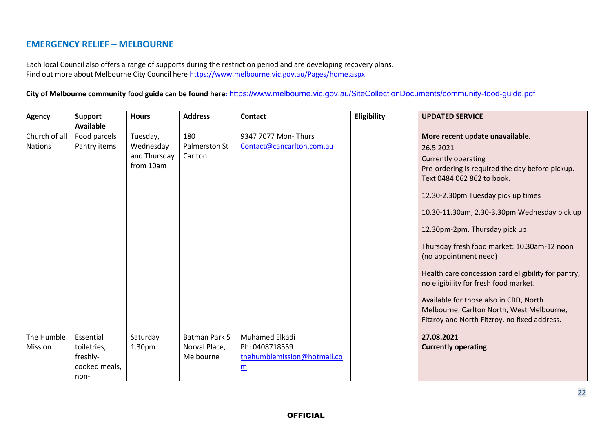## **EMERGENCY RELIEF – MELBOURNE**

Each local Council also offers a range of supports during the restriction period and are developing recovery plans. Find out more about Melbourne City Council here<https://www.melbourne.vic.gov.au/Pages/home.aspx>

**City of Melbourne community food guide can be found here:** <https://www.melbourne.vic.gov.au/SiteCollectionDocuments/community-food-guide.pdf>

| <b>Agency</b>                   | <b>Support</b><br><b>Available</b>                            | <b>Hours</b>                                       | <b>Address</b>                                     | <b>Contact</b>                                                                     | Eligibility | <b>UPDATED SERVICE</b>                                                                                                                                                                                                                                                                                                                                                                                                                                                                                                                                                                            |
|---------------------------------|---------------------------------------------------------------|----------------------------------------------------|----------------------------------------------------|------------------------------------------------------------------------------------|-------------|---------------------------------------------------------------------------------------------------------------------------------------------------------------------------------------------------------------------------------------------------------------------------------------------------------------------------------------------------------------------------------------------------------------------------------------------------------------------------------------------------------------------------------------------------------------------------------------------------|
| Church of all<br><b>Nations</b> | Food parcels<br>Pantry items                                  | Tuesday,<br>Wednesday<br>and Thursday<br>from 10am | 180<br>Palmerston St<br>Carlton                    | 9347 7077 Mon- Thurs<br>Contact@cancarlton.com.au                                  |             | More recent update unavailable.<br>26.5.2021<br><b>Currently operating</b><br>Pre-ordering is required the day before pickup.<br>Text 0484 062 862 to book.<br>12.30-2.30pm Tuesday pick up times<br>10.30-11.30am, 2.30-3.30pm Wednesday pick up<br>12.30pm-2pm. Thursday pick up<br>Thursday fresh food market: 10.30am-12 noon<br>(no appointment need)<br>Health care concession card eligibility for pantry,<br>no eligibility for fresh food market.<br>Available for those also in CBD, North<br>Melbourne, Carlton North, West Melbourne,<br>Fitzroy and North Fitzroy, no fixed address. |
| The Humble<br>Mission           | Essential<br>toiletries,<br>freshly-<br>cooked meals,<br>non- | Saturday<br>1.30pm                                 | <b>Batman Park 5</b><br>Norval Place,<br>Melbourne | Muhamed Elkadi<br>Ph: 0408718559<br>thehumblemission@hotmail.co<br>$\underline{m}$ |             | 27.08.2021<br><b>Currently operating</b>                                                                                                                                                                                                                                                                                                                                                                                                                                                                                                                                                          |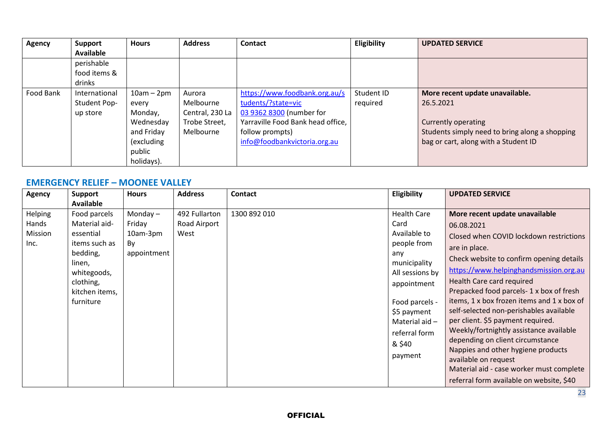| <b>Agency</b> | <b>Support</b>   | <b>Hours</b> | <b>Address</b>  | <b>Contact</b>                    | Eligibility | <b>UPDATED SERVICE</b>                         |
|---------------|------------------|--------------|-----------------|-----------------------------------|-------------|------------------------------------------------|
|               | <b>Available</b> |              |                 |                                   |             |                                                |
|               | perishable       |              |                 |                                   |             |                                                |
|               | food items &     |              |                 |                                   |             |                                                |
|               | drinks           |              |                 |                                   |             |                                                |
| Food Bank     | International    | $10am - 2pm$ | Aurora          | https://www.foodbank.org.au/s     | Student ID  | More recent update unavailable.                |
|               | Student Pop-     | every        | Melbourne       | tudents/?state=vic                | required    | 26.5.2021                                      |
|               | up store         | Monday,      | Central, 230 La | 03 9362 8300 (number for          |             |                                                |
|               |                  | Wednesday    | Trobe Street,   | Yarraville Food Bank head office, |             | <b>Currently operating</b>                     |
|               |                  | and Friday   | Melbourne       | follow prompts)                   |             | Students simply need to bring along a shopping |
|               |                  | (excluding   |                 | info@foodbankvictoria.org.au      |             | bag or cart, along with a Student ID           |
|               |                  | public       |                 |                                   |             |                                                |
|               |                  | holidays).   |                 |                                   |             |                                                |

#### **EMERGENCY RELIEF – MOONEE VALLEY**

| <b>Agency</b>                       | <b>Support</b><br>Available                                                                                                                  | <b>Hours</b>                                          | <b>Address</b>                        | Contact      | Eligibility                                                                                                                                                                                                   | <b>UPDATED SERVICE</b>                                                                                                                                                                                                                                                                                                                                                                                                                                                                                                                                                                                                                    |
|-------------------------------------|----------------------------------------------------------------------------------------------------------------------------------------------|-------------------------------------------------------|---------------------------------------|--------------|---------------------------------------------------------------------------------------------------------------------------------------------------------------------------------------------------------------|-------------------------------------------------------------------------------------------------------------------------------------------------------------------------------------------------------------------------------------------------------------------------------------------------------------------------------------------------------------------------------------------------------------------------------------------------------------------------------------------------------------------------------------------------------------------------------------------------------------------------------------------|
| Helping<br>Hands<br>Mission<br>Inc. | Food parcels<br>Material aid-<br>essential<br>items such as<br>bedding,<br>linen,<br>whitegoods,<br>clothing,<br>kitchen items,<br>furniture | Monday $-$<br>Friday<br>10am-3pm<br>By<br>appointment | 492 Fullarton<br>Road Airport<br>West | 1300 892 010 | <b>Health Care</b><br>Card<br>Available to<br>people from<br>any<br>municipality<br>All sessions by<br>appointment<br>Food parcels -<br>\$5 payment<br>Material aid $-$<br>referral form<br>& \$40<br>payment | More recent update unavailable<br>06.08.2021<br>Closed when COVID lockdown restrictions<br>are in place.<br>Check website to confirm opening details<br>https://www.helpinghandsmission.org.au<br>Health Care card required<br>Prepacked food parcels-1 x box of fresh<br>items, 1 x box frozen items and 1 x box of<br>self-selected non-perishables available<br>per client. \$5 payment required.<br>Weekly/fortnightly assistance available<br>depending on client circumstance<br>Nappies and other hygiene products<br>available on request<br>Material aid - case worker must complete<br>referral form available on website, \$40 |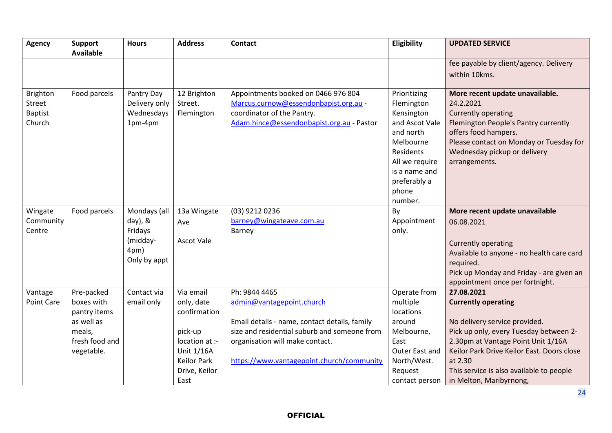| <b>Agency</b>                                  | <b>Support</b><br><b>Available</b> | <b>Hours</b>                                         | <b>Address</b>                       | <b>Contact</b>                                                                                                                                          | Eligibility                                                                                                                                                              | <b>UPDATED SERVICE</b>                                                                                                                                                                                                                 |
|------------------------------------------------|------------------------------------|------------------------------------------------------|--------------------------------------|---------------------------------------------------------------------------------------------------------------------------------------------------------|--------------------------------------------------------------------------------------------------------------------------------------------------------------------------|----------------------------------------------------------------------------------------------------------------------------------------------------------------------------------------------------------------------------------------|
|                                                |                                    |                                                      |                                      |                                                                                                                                                         |                                                                                                                                                                          | fee payable by client/agency. Delivery                                                                                                                                                                                                 |
|                                                |                                    |                                                      |                                      |                                                                                                                                                         |                                                                                                                                                                          | within 10kms.                                                                                                                                                                                                                          |
| Brighton<br>Street<br><b>Baptist</b><br>Church | Food parcels                       | Pantry Day<br>Delivery only<br>Wednesdays<br>1pm-4pm | 12 Brighton<br>Street.<br>Flemington | Appointments booked on 0466 976 804<br>Marcus.curnow@essendonbapist.org.au -<br>coordinator of the Pantry.<br>Adam.hince@essendonbapist.org.au - Pastor | Prioritizing<br>Flemington<br>Kensington<br>and Ascot Vale<br>and north<br>Melbourne<br>Residents<br>All we require<br>is a name and<br>preferably a<br>phone<br>number. | More recent update unavailable.<br>24.2.2021<br><b>Currently operating</b><br>Flemington People's Pantry currently<br>offers food hampers.<br>Please contact on Monday or Tuesday for<br>Wednesday pickup or delivery<br>arrangements. |
| Wingate                                        | Food parcels                       | Mondays (all                                         | 13a Wingate                          | (03) 9212 0236                                                                                                                                          | By                                                                                                                                                                       | More recent update unavailable                                                                                                                                                                                                         |
| Community<br>Centre                            |                                    | $day)$ , &<br>Fridays                                | Ave                                  | barney@wingateave.com.au<br>Barney                                                                                                                      | Appointment<br>only.                                                                                                                                                     | 06.08.2021                                                                                                                                                                                                                             |
|                                                |                                    | (midday-<br>4pm)<br>Only by appt                     | <b>Ascot Vale</b>                    |                                                                                                                                                         |                                                                                                                                                                          | <b>Currently operating</b><br>Available to anyone - no health care card<br>required.<br>Pick up Monday and Friday - are given an<br>appointment once per fortnight.                                                                    |
| Vantage                                        | Pre-packed                         | Contact via                                          | Via email                            | Ph: 9844 4465                                                                                                                                           | Operate from                                                                                                                                                             | 27.08.2021                                                                                                                                                                                                                             |
| <b>Point Care</b>                              | boxes with<br>pantry items         | email only                                           | only, date<br>confirmation           | admin@vantagepoint.church                                                                                                                               | multiple<br>locations                                                                                                                                                    | <b>Currently operating</b>                                                                                                                                                                                                             |
|                                                | as well as                         |                                                      |                                      | Email details - name, contact details, family                                                                                                           | around                                                                                                                                                                   | No delivery service provided.                                                                                                                                                                                                          |
|                                                | meals,                             |                                                      | pick-up                              | size and residential suburb and someone from                                                                                                            | Melbourne,                                                                                                                                                               | Pick up only, every Tuesday between 2-                                                                                                                                                                                                 |
|                                                | fresh food and                     |                                                      | location at :-                       | organisation will make contact.                                                                                                                         | East                                                                                                                                                                     | 2.30pm at Vantage Point Unit 1/16A                                                                                                                                                                                                     |
|                                                | vegetable.                         |                                                      | Unit 1/16A                           |                                                                                                                                                         | Outer East and                                                                                                                                                           | Keilor Park Drive Keilor East. Doors close                                                                                                                                                                                             |
|                                                |                                    |                                                      | <b>Keilor Park</b>                   | https://www.vantagepoint.church/community                                                                                                               | North/West.                                                                                                                                                              | at 2.30                                                                                                                                                                                                                                |
|                                                |                                    |                                                      | Drive, Keilor                        |                                                                                                                                                         | Request                                                                                                                                                                  | This service is also available to people                                                                                                                                                                                               |
|                                                |                                    |                                                      | East                                 |                                                                                                                                                         | contact person                                                                                                                                                           | in Melton, Maribyrnong,                                                                                                                                                                                                                |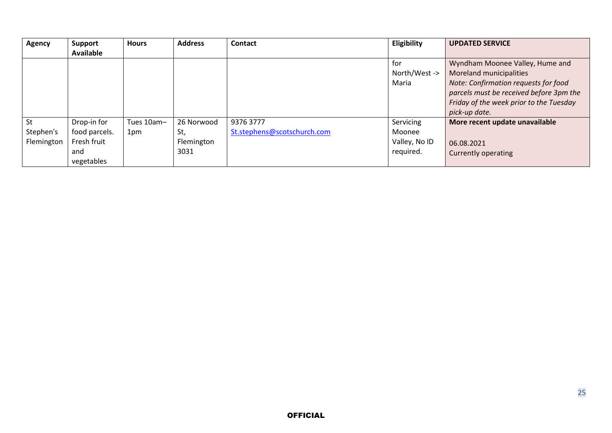| <b>Agency</b> | <b>Support</b> | <b>Hours</b> | <b>Address</b> | <b>Contact</b>              | Eligibility   | <b>UPDATED SERVICE</b>                  |
|---------------|----------------|--------------|----------------|-----------------------------|---------------|-----------------------------------------|
|               | Available      |              |                |                             |               |                                         |
|               |                |              |                |                             | for           | Wyndham Moonee Valley, Hume and         |
|               |                |              |                |                             | North/West -> | Moreland municipalities                 |
|               |                |              |                |                             | Maria         | Note: Confirmation requests for food    |
|               |                |              |                |                             |               | parcels must be received before 3pm the |
|               |                |              |                |                             |               | Friday of the week prior to the Tuesday |
|               |                |              |                |                             |               | pick-up date.                           |
| St            | Drop-in for    | Tues 10am-   | 26 Norwood     | 9376 3777                   | Servicing     | More recent update unavailable          |
| Stephen's     | food parcels.  | 1pm          | St,            | St.stephens@scotschurch.com | Moonee        |                                         |
| Flemington    | Fresh fruit    |              | Flemington     |                             | Valley, No ID | 06.08.2021                              |
|               | and            |              | 3031           |                             | required.     | Currently operating                     |
|               | vegetables     |              |                |                             |               |                                         |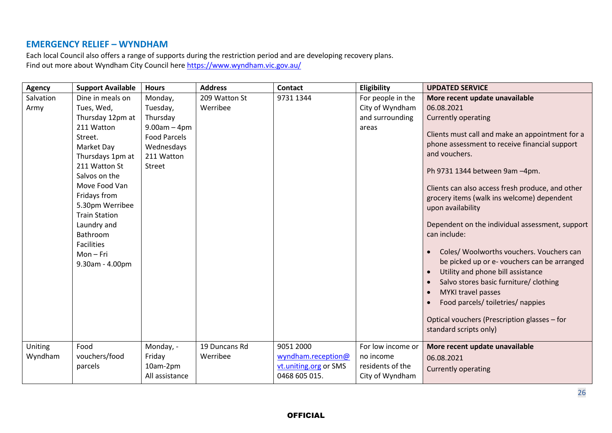#### **EMERGENCY RELIEF – WYNDHAM**

Each local Council also offers a range of supports during the restriction period and are developing recovery plans. Find out more about Wyndham City Council here <https://www.wyndham.vic.gov.au/>

| <b>Agency</b> | <b>Support Available</b> | <b>Hours</b>        | <b>Address</b> | <b>Contact</b>        | Eligibility       | <b>UPDATED SERVICE</b>                                   |
|---------------|--------------------------|---------------------|----------------|-----------------------|-------------------|----------------------------------------------------------|
| Salvation     | Dine in meals on         | Monday,             | 209 Watton St  | 9731 1344             | For people in the | More recent update unavailable                           |
| Army          | Tues, Wed,               | Tuesday,            | Werribee       |                       | City of Wyndham   | 06.08.2021                                               |
|               | Thursday 12pm at         | Thursday            |                |                       | and surrounding   | <b>Currently operating</b>                               |
|               | 211 Watton               | $9.00am - 4pm$      |                |                       | areas             |                                                          |
|               | Street.                  | <b>Food Parcels</b> |                |                       |                   | Clients must call and make an appointment for a          |
|               | Market Day               | Wednesdays          |                |                       |                   | phone assessment to receive financial support            |
|               | Thursdays 1pm at         | 211 Watton          |                |                       |                   | and vouchers.                                            |
|               | 211 Watton St            | Street              |                |                       |                   | Ph 9731 1344 between 9am -4pm.                           |
|               | Salvos on the            |                     |                |                       |                   |                                                          |
|               | Move Food Van            |                     |                |                       |                   | Clients can also access fresh produce, and other         |
|               | Fridays from             |                     |                |                       |                   | grocery items (walk ins welcome) dependent               |
|               | 5.30pm Werribee          |                     |                |                       |                   | upon availability                                        |
|               | <b>Train Station</b>     |                     |                |                       |                   |                                                          |
|               | Laundry and              |                     |                |                       |                   | Dependent on the individual assessment, support          |
|               | Bathroom                 |                     |                |                       |                   | can include:                                             |
|               | <b>Facilities</b>        |                     |                |                       |                   | Coles/ Woolworths vouchers. Vouchers can                 |
|               | $Mon-Fri$                |                     |                |                       |                   | $\bullet$<br>be picked up or e- vouchers can be arranged |
|               | 9.30am - 4.00pm          |                     |                |                       |                   |                                                          |
|               |                          |                     |                |                       |                   | Utility and phone bill assistance<br>$\bullet$           |
|               |                          |                     |                |                       |                   | Salvo stores basic furniture/ clothing<br>$\bullet$      |
|               |                          |                     |                |                       |                   | MYKI travel passes<br>$\bullet$                          |
|               |                          |                     |                |                       |                   | Food parcels/ toiletries/ nappies                        |
|               |                          |                     |                |                       |                   | Optical vouchers (Prescription glasses - for             |
|               |                          |                     |                |                       |                   | standard scripts only)                                   |
|               |                          |                     |                |                       |                   |                                                          |
| Uniting       | Food                     | Monday, -           | 19 Duncans Rd  | 9051 2000             | For low income or | More recent update unavailable                           |
| Wyndham       | vouchers/food            | Friday              | Werribee       | wyndham.reception@    | no income         | 06.08.2021                                               |
|               | parcels                  | 10am-2pm            |                | vt.uniting.org or SMS | residents of the  | <b>Currently operating</b>                               |
|               |                          | All assistance      |                | 0468 605 015.         | City of Wyndham   |                                                          |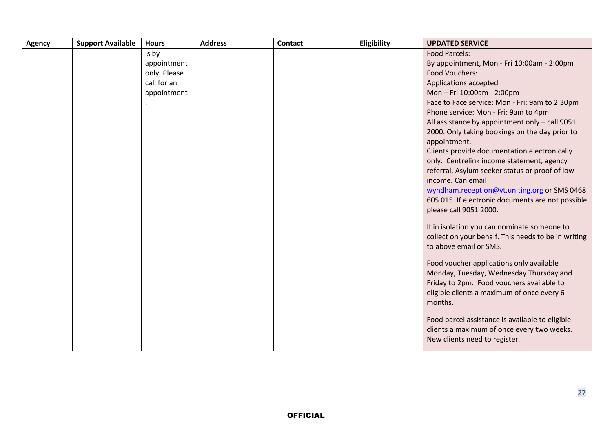| By appointment, Mon - Fri 10:00am - 2:00pm                                              |
|-----------------------------------------------------------------------------------------|
|                                                                                         |
|                                                                                         |
|                                                                                         |
|                                                                                         |
|                                                                                         |
| Face to Face service: Mon - Fri: 9am to 2:30pm                                          |
|                                                                                         |
| All assistance by appointment only - call 9051                                          |
| 2000. Only taking bookings on the day prior to                                          |
|                                                                                         |
| Clients provide documentation electronically                                            |
| only. Centrelink income statement, agency                                               |
| referral, Asylum seeker status or proof of low                                          |
|                                                                                         |
| wyndham.reception@vt.uniting.org or SMS 0468                                            |
| 605 015. If electronic documents are not possible                                       |
|                                                                                         |
| If in isolation you can nominate someone to                                             |
| collect on your behalf. This needs to be in writing                                     |
|                                                                                         |
|                                                                                         |
|                                                                                         |
| Monday, Tuesday, Wednesday Thursday and                                                 |
|                                                                                         |
|                                                                                         |
|                                                                                         |
|                                                                                         |
| Food parcel assistance is available to eligible                                         |
| clients a maximum of once every two weeks.                                              |
|                                                                                         |
| Friday to 2pm. Food vouchers available to<br>eligible clients a maximum of once every 6 |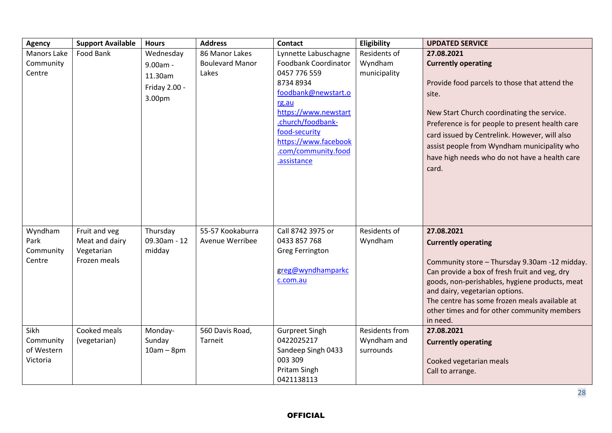| <b>Agency</b>           | <b>Support Available</b> | <b>Hours</b>           | <b>Address</b>         | <b>Contact</b>                            | Eligibility              | <b>UPDATED SERVICE</b>                          |
|-------------------------|--------------------------|------------------------|------------------------|-------------------------------------------|--------------------------|-------------------------------------------------|
| <b>Manors Lake</b>      | Food Bank                | Wednesday              | 86 Manor Lakes         | Lynnette Labuschagne                      | Residents of             | 27.08.2021                                      |
| Community               |                          | 9.00am -               | <b>Boulevard Manor</b> | Foodbank Coordinator                      | Wyndham                  | <b>Currently operating</b>                      |
| Centre                  |                          | 11.30am                | Lakes                  | 0457 776 559                              | municipality             |                                                 |
|                         |                          | Friday 2.00 -          |                        | 8734 8934                                 |                          | Provide food parcels to those that attend the   |
|                         |                          | 3.00pm                 |                        | foodbank@newstart.o                       |                          | site.                                           |
|                         |                          |                        |                        | rg.au                                     |                          |                                                 |
|                         |                          |                        |                        | https://www.newstart<br>.church/foodbank- |                          | New Start Church coordinating the service.      |
|                         |                          |                        |                        | food-security                             |                          | Preference is for people to present health care |
|                         |                          |                        |                        | https://www.facebook                      |                          | card issued by Centrelink. However, will also   |
|                         |                          |                        |                        | .com/community.food                       |                          | assist people from Wyndham municipality who     |
|                         |                          |                        |                        | .assistance                               |                          | have high needs who do not have a health care   |
|                         |                          |                        |                        |                                           |                          | card.                                           |
|                         |                          |                        |                        |                                           |                          |                                                 |
|                         |                          |                        |                        |                                           |                          |                                                 |
|                         |                          |                        |                        |                                           |                          |                                                 |
|                         |                          |                        |                        |                                           |                          |                                                 |
|                         |                          |                        |                        |                                           |                          |                                                 |
| Wyndham                 | Fruit and veg            | Thursday               | 55-57 Kookaburra       | Call 8742 3975 or                         | Residents of             | 27.08.2021                                      |
| Park                    | Meat and dairy           | 09.30am - 12           | Avenue Werribee        | 0433 857 768                              | Wyndham                  | <b>Currently operating</b>                      |
| Community               | Vegetarian               | midday                 |                        | <b>Greg Ferrington</b>                    |                          |                                                 |
| Centre                  | Frozen meals             |                        |                        |                                           |                          | Community store - Thursday 9.30am -12 midday.   |
|                         |                          |                        |                        | greg@wyndhamparkc                         |                          | Can provide a box of fresh fruit and veg, dry   |
|                         |                          |                        |                        | c.com.au                                  |                          | goods, non-perishables, hygiene products, meat  |
|                         |                          |                        |                        |                                           |                          | and dairy, vegetarian options.                  |
|                         |                          |                        |                        |                                           |                          | The centre has some frozen meals available at   |
|                         |                          |                        |                        |                                           |                          | other times and for other community members     |
| Sikh                    | Cooked meals             |                        |                        |                                           | <b>Residents from</b>    | in need.<br>27.08.2021                          |
|                         |                          | Monday-                | 560 Davis Road,        | <b>Gurpreet Singh</b><br>0422025217       |                          |                                                 |
| Community<br>of Western | (vegetarian)             | Sunday<br>$10am - 8pm$ | Tarneit                | Sandeep Singh 0433                        | Wyndham and<br>surrounds | <b>Currently operating</b>                      |
| Victoria                |                          |                        |                        | 003 309                                   |                          |                                                 |
|                         |                          |                        |                        | Pritam Singh                              |                          | Cooked vegetarian meals<br>Call to arrange.     |
|                         |                          |                        |                        | 0421138113                                |                          |                                                 |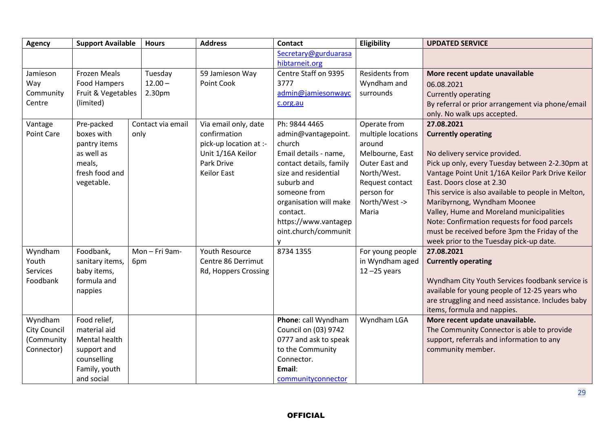| <b>Agency</b>       | <b>Support Available</b> | <b>Hours</b>      | <b>Address</b>         | <b>Contact</b>          | Eligibility           | <b>UPDATED SERVICE</b>                              |
|---------------------|--------------------------|-------------------|------------------------|-------------------------|-----------------------|-----------------------------------------------------|
|                     |                          |                   |                        | Secretary@gurduarasa    |                       |                                                     |
|                     |                          |                   |                        | hibtarneit.org          |                       |                                                     |
| Jamieson            | <b>Frozen Meals</b>      | Tuesday           | 59 Jamieson Way        | Centre Staff on 9395    | <b>Residents from</b> | More recent update unavailable                      |
| Way                 | Food Hampers             | $12.00 -$         | Point Cook             | 3777                    | Wyndham and           | 06.08.2021                                          |
| Community           | Fruit & Vegetables       | 2.30pm            |                        | admin@jamiesonwayc      | surrounds             | <b>Currently operating</b>                          |
| Centre              | (limited)                |                   |                        | c.org.au                |                       | By referral or prior arrangement via phone/email    |
|                     |                          |                   |                        |                         |                       | only. No walk ups accepted.                         |
| Vantage             | Pre-packed               | Contact via email | Via email only, date   | Ph: 9844 4465           | Operate from          | 27.08.2021                                          |
| Point Care          | boxes with               | only              | confirmation           | admin@vantagepoint.     | multiple locations    | <b>Currently operating</b>                          |
|                     | pantry items             |                   | pick-up location at :- | church                  | around                |                                                     |
|                     | as well as               |                   | Unit 1/16A Keilor      | Email details - name,   | Melbourne, East       | No delivery service provided.                       |
|                     | meals,                   |                   | Park Drive             | contact details, family | Outer East and        | Pick up only, every Tuesday between 2-2.30pm at     |
|                     | fresh food and           |                   | <b>Keilor East</b>     | size and residential    | North/West.           | Vantage Point Unit 1/16A Keilor Park Drive Keilor   |
|                     | vegetable.               |                   |                        | suburb and              | Request contact       | East. Doors close at 2.30                           |
|                     |                          |                   |                        | someone from            | person for            | This service is also available to people in Melton, |
|                     |                          |                   |                        | organisation will make  | North/West ->         | Maribyrnong, Wyndham Moonee                         |
|                     |                          |                   |                        | contact.                | Maria                 | Valley, Hume and Moreland municipalities            |
|                     |                          |                   |                        | https://www.vantagep    |                       | Note: Confirmation requests for food parcels        |
|                     |                          |                   |                        | oint.church/communit    |                       | must be received before 3pm the Friday of the       |
|                     |                          |                   |                        | ۷                       |                       | week prior to the Tuesday pick-up date.             |
| Wyndham             | Foodbank,                | Mon-Fri 9am-      | <b>Youth Resource</b>  | 8734 1355               | For young people      | 27.08.2021                                          |
| Youth               | sanitary items,          | 6pm               | Centre 86 Derrimut     |                         | in Wyndham aged       | <b>Currently operating</b>                          |
| Services            | baby items,              |                   | Rd, Hoppers Crossing   |                         | $12 - 25$ years       |                                                     |
| Foodbank            | formula and              |                   |                        |                         |                       | Wyndham City Youth Services foodbank service is     |
|                     | nappies                  |                   |                        |                         |                       | available for young people of 12-25 years who       |
|                     |                          |                   |                        |                         |                       | are struggling and need assistance. Includes baby   |
|                     |                          |                   |                        |                         |                       | items, formula and nappies.                         |
| Wyndham             | Food relief,             |                   |                        | Phone: call Wyndham     | Wyndham LGA           | More recent update unavailable.                     |
| <b>City Council</b> | material aid             |                   |                        | Council on (03) 9742    |                       | The Community Connector is able to provide          |
| (Community          | Mental health            |                   |                        | 0777 and ask to speak   |                       | support, referrals and information to any           |
| Connector)          | support and              |                   |                        | to the Community        |                       | community member.                                   |
|                     | counselling              |                   |                        | Connector.              |                       |                                                     |
|                     | Family, youth            |                   |                        | Email:                  |                       |                                                     |
|                     | and social               |                   |                        | communityconnector      |                       |                                                     |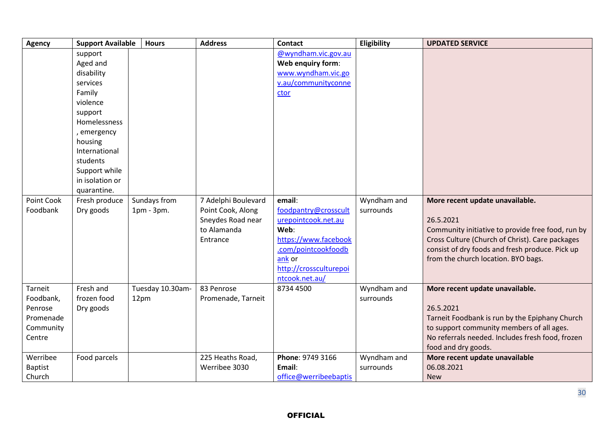| <b>Agency</b>                                                       | <b>Support Available</b>                                                                                                                                                                                 | <b>Hours</b>                 | <b>Address</b>                                                                           | <b>Contact</b>                                                                                                                                                       | Eligibility              | <b>UPDATED SERVICE</b>                                                                                                                                                                                                                         |
|---------------------------------------------------------------------|----------------------------------------------------------------------------------------------------------------------------------------------------------------------------------------------------------|------------------------------|------------------------------------------------------------------------------------------|----------------------------------------------------------------------------------------------------------------------------------------------------------------------|--------------------------|------------------------------------------------------------------------------------------------------------------------------------------------------------------------------------------------------------------------------------------------|
|                                                                     | support<br>Aged and<br>disability<br>services<br>Family<br>violence<br>support<br>Homelessness<br>, emergency<br>housing<br>International<br>students<br>Support while<br>in isolation or<br>quarantine. |                              |                                                                                          | @wyndham.vic.gov.au<br>Web enquiry form:<br>www.wyndham.vic.go<br>v.au/communityconne<br>ctor                                                                        |                          |                                                                                                                                                                                                                                                |
| Point Cook<br>Foodbank                                              | Fresh produce<br>Dry goods                                                                                                                                                                               | Sundays from<br>$1pm - 3pm.$ | 7 Adelphi Boulevard<br>Point Cook, Along<br>Sneydes Road near<br>to Alamanda<br>Entrance | email:<br>foodpantry@crosscult<br>urepointcook.net.au<br>Web:<br>https://www.facebook<br>.com/pointcookfoodb<br>$ank$ or<br>http://crossculturepoi<br>ntcook.net.au/ | Wyndham and<br>surrounds | More recent update unavailable.<br>26.5.2021<br>Community initiative to provide free food, run by<br>Cross Culture (Church of Christ). Care packages<br>consist of dry foods and fresh produce. Pick up<br>from the church location. BYO bags. |
| Tarneit<br>Foodbank,<br>Penrose<br>Promenade<br>Community<br>Centre | Fresh and<br>frozen food<br>Dry goods                                                                                                                                                                    | Tuesday 10.30am-<br>12pm     | 83 Penrose<br>Promenade, Tarneit                                                         | 8734 4500                                                                                                                                                            | Wyndham and<br>surrounds | More recent update unavailable.<br>26.5.2021<br>Tarneit Foodbank is run by the Epiphany Church<br>to support community members of all ages.<br>No referrals needed. Includes fresh food, frozen<br>food and dry goods.                         |
| Werribee<br><b>Baptist</b><br>Church                                | Food parcels                                                                                                                                                                                             |                              | 225 Heaths Road,<br>Werribee 3030                                                        | Phone: 9749 3166<br>Email:<br>office@werribeebaptis                                                                                                                  | Wyndham and<br>surrounds | More recent update unavailable<br>06.08.2021<br><b>New</b>                                                                                                                                                                                     |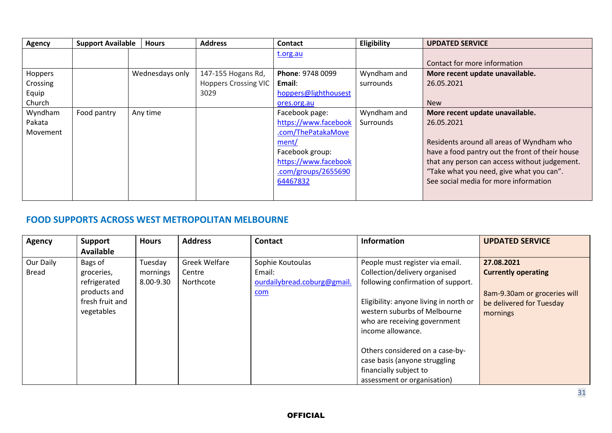| Contact for more information                    |
|-------------------------------------------------|
| More recent update unavailable.                 |
|                                                 |
|                                                 |
|                                                 |
| More recent update unavailable.                 |
|                                                 |
|                                                 |
| Residents around all areas of Wyndham who       |
| have a food pantry out the front of their house |
| that any person can access without judgement.   |
| "Take what you need, give what you can".        |
| See social media for more information           |
|                                                 |
|                                                 |

### **FOOD SUPPORTS ACROSS WEST METROPOLITAN MELBOURNE**

| <b>Agency</b> | Support          | <b>Hours</b> | <b>Address</b> | <b>Contact</b>              | <b>Information</b>                     | <b>UPDATED SERVICE</b>       |
|---------------|------------------|--------------|----------------|-----------------------------|----------------------------------------|------------------------------|
|               | <b>Available</b> |              |                |                             |                                        |                              |
| Our Daily     | Bags of          | Tuesday      | Greek Welfare  | Sophie Koutoulas            | People must register via email.        | 27.08.2021                   |
| <b>Bread</b>  | groceries,       | mornings     | Centre         | Email:                      | Collection/delivery organised          | <b>Currently operating</b>   |
|               | refrigerated     | 8.00-9.30    | Northcote      | ourdailybread.coburg@gmail. | following confirmation of support.     |                              |
|               | products and     |              |                | <u>com</u>                  |                                        | 8am-9.30am or groceries will |
|               | fresh fruit and  |              |                |                             | Eligibility: anyone living in north or | be delivered for Tuesday     |
|               | vegetables       |              |                |                             | western suburbs of Melbourne           | mornings                     |
|               |                  |              |                |                             | who are receiving government           |                              |
|               |                  |              |                |                             | income allowance.                      |                              |
|               |                  |              |                |                             |                                        |                              |
|               |                  |              |                |                             | Others considered on a case-by-        |                              |
|               |                  |              |                |                             | case basis (anyone struggling          |                              |
|               |                  |              |                |                             | financially subject to                 |                              |
|               |                  |              |                |                             | assessment or organisation)            |                              |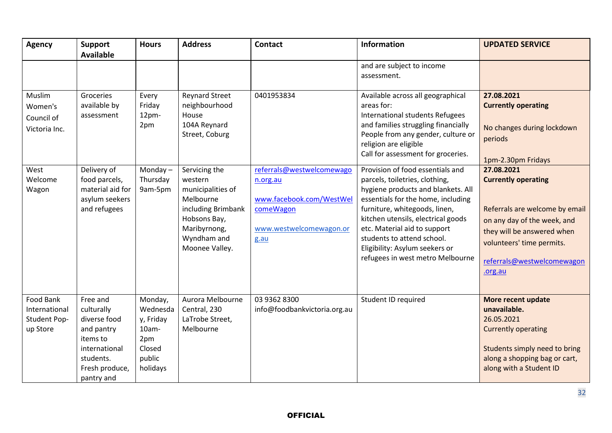| <b>Agency</b>                                          | <b>Support</b><br><b>Available</b>                                                                                             | <b>Hours</b>                                                                     | <b>Address</b>                                                                                                                                    | <b>Contact</b>                                                                                                    | Information                                                                                                                                                                                                                                                                                                                                               | <b>UPDATED SERVICE</b>                                                                                                                                                                                        |
|--------------------------------------------------------|--------------------------------------------------------------------------------------------------------------------------------|----------------------------------------------------------------------------------|---------------------------------------------------------------------------------------------------------------------------------------------------|-------------------------------------------------------------------------------------------------------------------|-----------------------------------------------------------------------------------------------------------------------------------------------------------------------------------------------------------------------------------------------------------------------------------------------------------------------------------------------------------|---------------------------------------------------------------------------------------------------------------------------------------------------------------------------------------------------------------|
|                                                        |                                                                                                                                |                                                                                  |                                                                                                                                                   |                                                                                                                   | and are subject to income<br>assessment.                                                                                                                                                                                                                                                                                                                  |                                                                                                                                                                                                               |
| Muslim<br>Women's<br>Council of<br>Victoria Inc.       | Groceries<br>available by<br>assessment                                                                                        | Every<br>Friday<br>12pm-<br>2pm                                                  | <b>Reynard Street</b><br>neighbourhood<br>House<br>104A Reynard<br>Street, Coburg                                                                 | 0401953834                                                                                                        | Available across all geographical<br>areas for:<br>International students Refugees<br>and families struggling financially<br>People from any gender, culture or<br>religion are eligible<br>Call for assessment for groceries.                                                                                                                            | 27.08.2021<br><b>Currently operating</b><br>No changes during lockdown<br>periods<br>1pm-2.30pm Fridays                                                                                                       |
| West<br>Welcome<br>Wagon                               | Delivery of<br>food parcels,<br>material aid for<br>asylum seekers<br>and refugees                                             | Monday $-$<br>Thursday<br>9am-5pm                                                | Servicing the<br>western<br>municipalities of<br>Melbourne<br>including Brimbank<br>Hobsons Bay,<br>Maribyrnong,<br>Wyndham and<br>Moonee Valley. | referrals@westwelcomewago<br>n.org.au<br>www.facebook.com/WestWel<br>comeWagon<br>www.westwelcomewagon.or<br>g.au | Provision of food essentials and<br>parcels, toiletries, clothing,<br>hygiene products and blankets. All<br>essentials for the home, including<br>furniture, whitegoods, linen,<br>kitchen utensils, electrical goods<br>etc. Material aid to support<br>students to attend school.<br>Eligibility: Asylum seekers or<br>refugees in west metro Melbourne | 27.08.2021<br><b>Currently operating</b><br>Referrals are welcome by email<br>on any day of the week, and<br>they will be answered when<br>volunteers' time permits.<br>referrals@westwelcomewagon<br>.org.au |
| Food Bank<br>International<br>Student Pop-<br>up Store | Free and<br>culturally<br>diverse food<br>and pantry<br>items to<br>international<br>students.<br>Fresh produce,<br>pantry and | Monday,<br>Wednesda<br>y, Friday<br>10am-<br>2pm<br>Closed<br>public<br>holidays | Aurora Melbourne<br>Central, 230<br>LaTrobe Street,<br>Melbourne                                                                                  | 03 9362 8300<br>info@foodbankvictoria.org.au                                                                      | Student ID required                                                                                                                                                                                                                                                                                                                                       | More recent update<br>unavailable.<br>26.05.2021<br><b>Currently operating</b><br>Students simply need to bring<br>along a shopping bag or cart,<br>along with a Student ID                                   |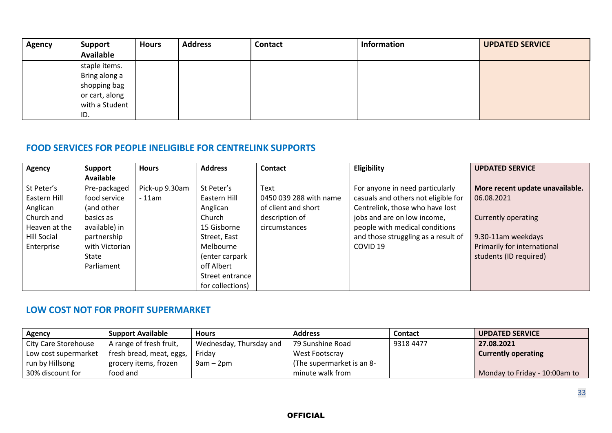| <b>Agency</b> | <b>Support</b><br><b>Available</b>                                                        | <b>Hours</b> | <b>Address</b> | <b>Contact</b> | Information | <b>UPDATED SERVICE</b> |
|---------------|-------------------------------------------------------------------------------------------|--------------|----------------|----------------|-------------|------------------------|
|               | staple items.<br>Bring along a<br>shopping bag<br>or cart, along<br>with a Student<br>ID. |              |                |                |             |                        |

## **FOOD SERVICES FOR PEOPLE INELIGIBLE FOR CENTRELINK SUPPORTS**

| <b>Agency</b>      | Support          | <b>Hours</b>   | <b>Address</b>   | <b>Contact</b>         | Eligibility                         | <b>UPDATED SERVICE</b>          |
|--------------------|------------------|----------------|------------------|------------------------|-------------------------------------|---------------------------------|
|                    | <b>Available</b> |                |                  |                        |                                     |                                 |
| St Peter's         | Pre-packaged     | Pick-up 9.30am | St Peter's       | Text                   | For anyone in need particularly     | More recent update unavailable. |
| Eastern Hill       | food service     | $-11$ am       | Eastern Hill     | 0450 039 288 with name | casuals and others not eligible for | 06.08.2021                      |
| Anglican           | (and other       |                | Anglican         | of client and short    | Centrelink, those who have lost     |                                 |
| Church and         | basics as        |                | Church           | description of         | jobs and are on low income,         | <b>Currently operating</b>      |
| Heaven at the      | available) in    |                | 15 Gisborne      | circumstances          | people with medical conditions      |                                 |
| <b>Hill Social</b> | partnership      |                | Street, East     |                        | and those struggling as a result of | 9.30-11am weekdays              |
| Enterprise         | with Victorian   |                | Melbourne        |                        | COVID <sub>19</sub>                 | Primarily for international     |
|                    | State            |                | (enter carpark   |                        |                                     | students (ID required)          |
|                    | Parliament       |                | off Albert       |                        |                                     |                                 |
|                    |                  |                | Street entrance  |                        |                                     |                                 |
|                    |                  |                | for collections) |                        |                                     |                                 |

## **LOW COST NOT FOR PROFIT SUPERMARKET**

| Agency                      | <b>Support Available</b> | <b>Hours</b>            | <b>Address</b>            | <b>Contact</b> | <b>UPDATED SERVICE</b>        |
|-----------------------------|--------------------------|-------------------------|---------------------------|----------------|-------------------------------|
| <b>City Care Storehouse</b> | A range of fresh fruit,  | Wednesday, Thursday and | 79 Sunshine Road          | 9318 4477      | 27.08.2021                    |
| Low cost supermarket        | fresh bread, meat, eggs, | Friday                  | West Footscray            |                | <b>Currently operating</b>    |
| run by Hillsong             | grocery items, frozen    | $9am - 2pm$             | (The supermarket is an 8- |                |                               |
| 30% discount for            | food and                 |                         | minute walk from          |                | Monday to Friday - 10:00am to |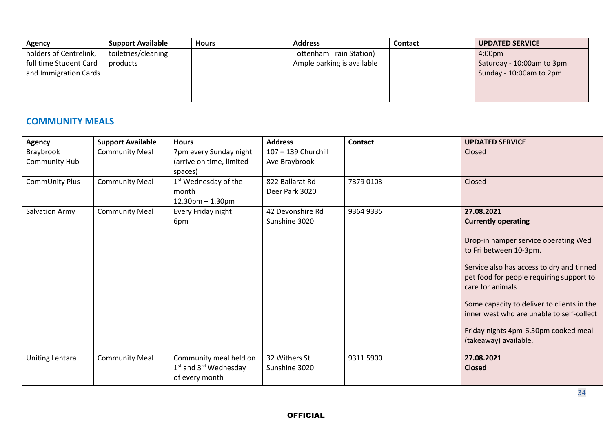| <b>Agency</b>          | <b>Support Available</b> | <b>Hours</b> | <b>Address</b>                  | <b>Contact</b> | <b>UPDATED SERVICE</b>    |
|------------------------|--------------------------|--------------|---------------------------------|----------------|---------------------------|
| holders of Centrelink, | toiletries/cleaning      |              | <b>Tottenham Train Station)</b> |                | 4:00 <sub>pm</sub>        |
| full time Student Card | products                 |              | Ample parking is available      |                | Saturday - 10:00am to 3pm |
| and Immigration Cards  |                          |              |                                 |                | Sunday - 10:00am to 2pm   |
|                        |                          |              |                                 |                |                           |
|                        |                          |              |                                 |                |                           |
|                        |                          |              |                                 |                |                           |

## **COMMUNITY MEALS**

| <b>Agency</b>              | <b>Support Available</b> | <b>Hours</b>                                                          | <b>Address</b>                       | <b>Contact</b> | <b>UPDATED SERVICE</b>                                                                                                                                                                                                                                                                                                                  |
|----------------------------|--------------------------|-----------------------------------------------------------------------|--------------------------------------|----------------|-----------------------------------------------------------------------------------------------------------------------------------------------------------------------------------------------------------------------------------------------------------------------------------------------------------------------------------------|
| Braybrook<br>Community Hub | <b>Community Meal</b>    | 7pm every Sunday night<br>(arrive on time, limited                    | 107 - 139 Churchill<br>Ave Braybrook |                | Closed                                                                                                                                                                                                                                                                                                                                  |
|                            |                          | spaces)                                                               |                                      |                |                                                                                                                                                                                                                                                                                                                                         |
| CommUnity Plus             | <b>Community Meal</b>    | 1 <sup>st</sup> Wednesday of the                                      | 822 Ballarat Rd                      | 7379 0103      | Closed                                                                                                                                                                                                                                                                                                                                  |
|                            |                          | month                                                                 | Deer Park 3020                       |                |                                                                                                                                                                                                                                                                                                                                         |
|                            |                          | $12.30$ pm $- 1.30$ pm                                                |                                      |                |                                                                                                                                                                                                                                                                                                                                         |
| Salvation Army             | <b>Community Meal</b>    | Every Friday night                                                    | 42 Devonshire Rd                     | 9364 9335      | 27.08.2021                                                                                                                                                                                                                                                                                                                              |
|                            |                          | 6pm                                                                   | Sunshine 3020                        |                | <b>Currently operating</b>                                                                                                                                                                                                                                                                                                              |
|                            |                          |                                                                       |                                      |                | Drop-in hamper service operating Wed<br>to Fri between 10-3pm.<br>Service also has access to dry and tinned<br>pet food for people requiring support to<br>care for animals<br>Some capacity to deliver to clients in the<br>inner west who are unable to self-collect<br>Friday nights 4pm-6.30pm cooked meal<br>(takeaway) available. |
| Uniting Lentara            | <b>Community Meal</b>    | Community meal held on<br>$1st$ and $3rd$ Wednesday<br>of every month | 32 Withers St<br>Sunshine 3020       | 9311 5900      | 27.08.2021<br><b>Closed</b>                                                                                                                                                                                                                                                                                                             |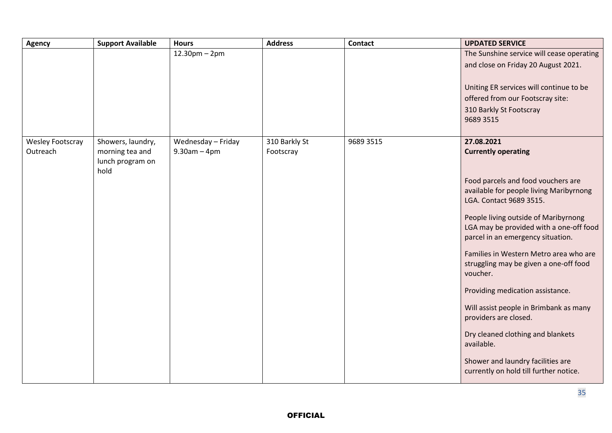| Agency                              | <b>Support Available</b>                                         | <b>Hours</b>                            | <b>Address</b>             | Contact   | <b>UPDATED SERVICE</b>                                                                                                                                                                                                                                                                                                                                                                                                                                                                                                                                                                                                |
|-------------------------------------|------------------------------------------------------------------|-----------------------------------------|----------------------------|-----------|-----------------------------------------------------------------------------------------------------------------------------------------------------------------------------------------------------------------------------------------------------------------------------------------------------------------------------------------------------------------------------------------------------------------------------------------------------------------------------------------------------------------------------------------------------------------------------------------------------------------------|
|                                     |                                                                  | $12.30$ pm – 2pm                        |                            |           | The Sunshine service will cease operating<br>and close on Friday 20 August 2021.<br>Uniting ER services will continue to be<br>offered from our Footscray site:<br>310 Barkly St Footscray<br>9689 3515                                                                                                                                                                                                                                                                                                                                                                                                               |
| <b>Wesley Footscray</b><br>Outreach | Showers, laundry,<br>morning tea and<br>lunch program on<br>hold | Wednesday - Friday<br>$9.30$ am $-4$ pm | 310 Barkly St<br>Footscray | 9689 3515 | 27.08.2021<br><b>Currently operating</b><br>Food parcels and food vouchers are<br>available for people living Maribyrnong<br>LGA. Contact 9689 3515.<br>People living outside of Maribyrnong<br>LGA may be provided with a one-off food<br>parcel in an emergency situation.<br>Families in Western Metro area who are<br>struggling may be given a one-off food<br>voucher.<br>Providing medication assistance.<br>Will assist people in Brimbank as many<br>providers are closed.<br>Dry cleaned clothing and blankets<br>available.<br>Shower and laundry facilities are<br>currently on hold till further notice. |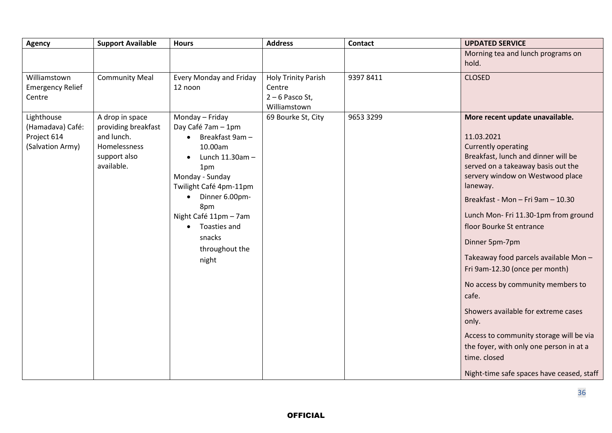| <b>Agency</b>                                                     | <b>Support Available</b>                                                                           | <b>Hours</b>                                                                                                                                                                                                                                                                            | <b>Address</b>                                                            | <b>Contact</b> | <b>UPDATED SERVICE</b>                                                                                                                                                                                                                                                                                                                                                                                                                                                                                                                                                                                                                                  |
|-------------------------------------------------------------------|----------------------------------------------------------------------------------------------------|-----------------------------------------------------------------------------------------------------------------------------------------------------------------------------------------------------------------------------------------------------------------------------------------|---------------------------------------------------------------------------|----------------|---------------------------------------------------------------------------------------------------------------------------------------------------------------------------------------------------------------------------------------------------------------------------------------------------------------------------------------------------------------------------------------------------------------------------------------------------------------------------------------------------------------------------------------------------------------------------------------------------------------------------------------------------------|
|                                                                   |                                                                                                    |                                                                                                                                                                                                                                                                                         |                                                                           |                | Morning tea and lunch programs on<br>hold.                                                                                                                                                                                                                                                                                                                                                                                                                                                                                                                                                                                                              |
| Williamstown<br><b>Emergency Relief</b><br>Centre                 | <b>Community Meal</b>                                                                              | Every Monday and Friday<br>12 noon                                                                                                                                                                                                                                                      | <b>Holy Trinity Parish</b><br>Centre<br>$2 - 6$ Pasco St,<br>Williamstown | 93978411       | <b>CLOSED</b>                                                                                                                                                                                                                                                                                                                                                                                                                                                                                                                                                                                                                                           |
| Lighthouse<br>(Hamadava) Café:<br>Project 614<br>(Salvation Army) | A drop in space<br>providing breakfast<br>and lunch.<br>Homelessness<br>support also<br>available. | Monday - Friday<br>Day Café 7am - 1pm<br>Breakfast 9am-<br>$\bullet$<br>10.00am<br>Lunch 11.30am -<br>1pm<br>Monday - Sunday<br>Twilight Café 4pm-11pm<br>Dinner 6.00pm-<br>$\bullet$<br>8pm<br>Night Café 11pm - 7am<br>Toasties and<br>$\bullet$<br>snacks<br>throughout the<br>night | 69 Bourke St, City                                                        | 9653 3299      | More recent update unavailable.<br>11.03.2021<br>Currently operating<br>Breakfast, lunch and dinner will be<br>served on a takeaway basis out the<br>servery window on Westwood place<br>laneway.<br>Breakfast - Mon - Fri 9am - 10.30<br>Lunch Mon- Fri 11.30-1pm from ground<br>floor Bourke St entrance<br>Dinner 5pm-7pm<br>Takeaway food parcels available Mon-<br>Fri 9am-12.30 (once per month)<br>No access by community members to<br>cafe.<br>Showers available for extreme cases<br>only.<br>Access to community storage will be via<br>the foyer, with only one person in at a<br>time. closed<br>Night-time safe spaces have ceased, staff |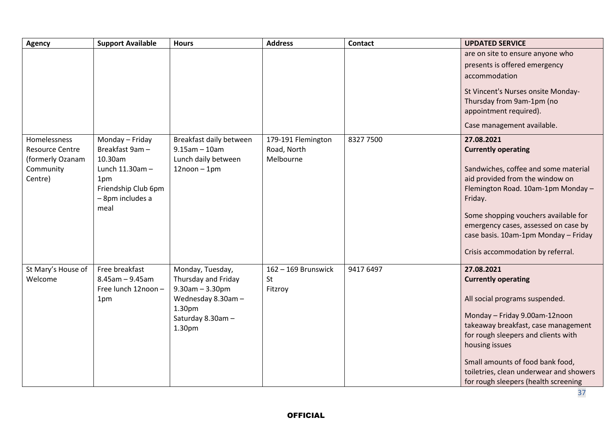| <b>Agency</b>                                                                      | <b>Support Available</b>                                                                                                   | <b>Hours</b>                                                                                                                    | <b>Address</b>                                 | <b>Contact</b> | <b>UPDATED SERVICE</b>                                                                                                                                                                                                                                                                                                             |
|------------------------------------------------------------------------------------|----------------------------------------------------------------------------------------------------------------------------|---------------------------------------------------------------------------------------------------------------------------------|------------------------------------------------|----------------|------------------------------------------------------------------------------------------------------------------------------------------------------------------------------------------------------------------------------------------------------------------------------------------------------------------------------------|
|                                                                                    |                                                                                                                            |                                                                                                                                 |                                                |                | are on site to ensure anyone who<br>presents is offered emergency<br>accommodation                                                                                                                                                                                                                                                 |
|                                                                                    |                                                                                                                            |                                                                                                                                 |                                                |                | St Vincent's Nurses onsite Monday-                                                                                                                                                                                                                                                                                                 |
|                                                                                    |                                                                                                                            |                                                                                                                                 |                                                |                | Thursday from 9am-1pm (no                                                                                                                                                                                                                                                                                                          |
|                                                                                    |                                                                                                                            |                                                                                                                                 |                                                |                | appointment required).                                                                                                                                                                                                                                                                                                             |
|                                                                                    |                                                                                                                            |                                                                                                                                 |                                                |                | Case management available.                                                                                                                                                                                                                                                                                                         |
| Homelessness<br><b>Resource Centre</b><br>(formerly Ozanam<br>Community<br>Centre) | Monday - Friday<br>Breakfast 9am -<br>10.30am<br>Lunch 11.30am -<br>1pm<br>Friendship Club 6pm<br>- 8pm includes a<br>meal | Breakfast daily between<br>$9.15$ am - 10am<br>Lunch daily between<br>$12$ noon - 1pm                                           | 179-191 Flemington<br>Road, North<br>Melbourne | 8327 7500      | 27.08.2021<br><b>Currently operating</b><br>Sandwiches, coffee and some material<br>aid provided from the window on<br>Flemington Road. 10am-1pm Monday -<br>Friday.<br>Some shopping vouchers available for<br>emergency cases, assessed on case by<br>case basis. 10am-1pm Monday - Friday<br>Crisis accommodation by referral.  |
| St Mary's House of<br>Welcome                                                      | Free breakfast<br>$8.45$ am - 9.45am<br>Free lunch 12noon -<br>1pm                                                         | Monday, Tuesday,<br>Thursday and Friday<br>$9.30$ am $- 3.30$ pm<br>Wednesday 8.30am -<br>1.30pm<br>Saturday 8.30am -<br>1.30pm | $162 - 169$ Brunswick<br>St<br>Fitzroy         | 9417 6497      | 27.08.2021<br><b>Currently operating</b><br>All social programs suspended.<br>Monday - Friday 9.00am-12noon<br>takeaway breakfast, case management<br>for rough sleepers and clients with<br>housing issues<br>Small amounts of food bank food,<br>toiletries, clean underwear and showers<br>for rough sleepers (health screening |

OFFICIAL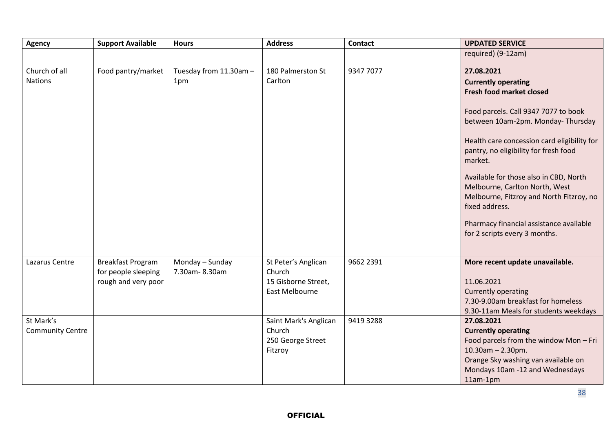| <b>Agency</b>                        | <b>Support Available</b>                                               | <b>Hours</b>                     | <b>Address</b>                                                         | <b>Contact</b> | <b>UPDATED SERVICE</b>                                                                                                                                                                                                                                                                                                                                                                                                                                                            |
|--------------------------------------|------------------------------------------------------------------------|----------------------------------|------------------------------------------------------------------------|----------------|-----------------------------------------------------------------------------------------------------------------------------------------------------------------------------------------------------------------------------------------------------------------------------------------------------------------------------------------------------------------------------------------------------------------------------------------------------------------------------------|
|                                      |                                                                        |                                  |                                                                        |                | required) (9-12am)                                                                                                                                                                                                                                                                                                                                                                                                                                                                |
| Church of all<br><b>Nations</b>      | Food pantry/market                                                     | Tuesday from 11.30am -<br>1pm    | 180 Palmerston St<br>Carlton                                           | 9347 7077      | 27.08.2021<br><b>Currently operating</b><br><b>Fresh food market closed</b><br>Food parcels. Call 9347 7077 to book<br>between 10am-2pm. Monday-Thursday<br>Health care concession card eligibility for<br>pantry, no eligibility for fresh food<br>market.<br>Available for those also in CBD, North<br>Melbourne, Carlton North, West<br>Melbourne, Fitzroy and North Fitzroy, no<br>fixed address.<br>Pharmacy financial assistance available<br>for 2 scripts every 3 months. |
| Lazarus Centre                       | <b>Breakfast Program</b><br>for people sleeping<br>rough and very poor | Monday - Sunday<br>7.30am-8.30am | St Peter's Anglican<br>Church<br>15 Gisborne Street,<br>East Melbourne | 9662 2391      | More recent update unavailable.<br>11.06.2021<br><b>Currently operating</b><br>7.30-9.00am breakfast for homeless<br>9.30-11am Meals for students weekdays                                                                                                                                                                                                                                                                                                                        |
| St Mark's<br><b>Community Centre</b> |                                                                        |                                  | Saint Mark's Anglican<br>Church<br>250 George Street<br>Fitzroy        | 9419 3288      | 27.08.2021<br><b>Currently operating</b><br>Food parcels from the window Mon-Fri<br>$10.30$ am - 2.30pm.<br>Orange Sky washing van available on<br>Mondays 10am -12 and Wednesdays<br>11am-1pm                                                                                                                                                                                                                                                                                    |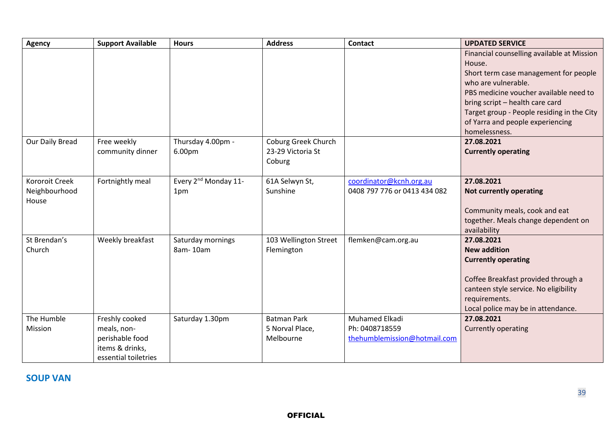| <b>Agency</b>   | <b>Support Available</b> | <b>Hours</b>                     | <b>Address</b>        | <b>Contact</b>               | <b>UPDATED SERVICE</b>                     |
|-----------------|--------------------------|----------------------------------|-----------------------|------------------------------|--------------------------------------------|
|                 |                          |                                  |                       |                              | Financial counselling available at Mission |
|                 |                          |                                  |                       |                              | House.                                     |
|                 |                          |                                  |                       |                              | Short term case management for people      |
|                 |                          |                                  |                       |                              | who are vulnerable.                        |
|                 |                          |                                  |                       |                              | PBS medicine voucher available need to     |
|                 |                          |                                  |                       |                              | bring script - health care card            |
|                 |                          |                                  |                       |                              | Target group - People residing in the City |
|                 |                          |                                  |                       |                              | of Yarra and people experiencing           |
|                 |                          |                                  |                       |                              | homelessness.                              |
| Our Daily Bread | Free weekly              | Thursday 4.00pm -                | Coburg Greek Church   |                              | 27.08.2021                                 |
|                 | community dinner         | 6.00pm                           | 23-29 Victoria St     |                              | <b>Currently operating</b>                 |
|                 |                          |                                  | Coburg                |                              |                                            |
| Kororoit Creek  | Fortnightly meal         | Every 2 <sup>nd</sup> Monday 11- | 61A Selwyn St,        | coordinator@kcnh.org.au      | 27.08.2021                                 |
| Neighbourhood   |                          | 1pm                              | Sunshine              | 0408 797 776 or 0413 434 082 | <b>Not currently operating</b>             |
| House           |                          |                                  |                       |                              |                                            |
|                 |                          |                                  |                       |                              | Community meals, cook and eat              |
|                 |                          |                                  |                       |                              | together. Meals change dependent on        |
|                 |                          |                                  |                       |                              | availability                               |
| St Brendan's    | Weekly breakfast         | Saturday mornings                | 103 Wellington Street | flemken@cam.org.au           | 27.08.2021                                 |
| Church          |                          | 8am-10am                         | Flemington            |                              | <b>New addition</b>                        |
|                 |                          |                                  |                       |                              | <b>Currently operating</b>                 |
|                 |                          |                                  |                       |                              | Coffee Breakfast provided through a        |
|                 |                          |                                  |                       |                              | canteen style service. No eligibility      |
|                 |                          |                                  |                       |                              | requirements.                              |
|                 |                          |                                  |                       |                              | Local police may be in attendance.         |
| The Humble      | Freshly cooked           | Saturday 1.30pm                  | <b>Batman Park</b>    | Muhamed Elkadi               | 27.08.2021                                 |
| Mission         | meals, non-              |                                  | 5 Norval Place,       | Ph: 0408718559               | <b>Currently operating</b>                 |
|                 | perishable food          |                                  | Melbourne             | thehumblemission@hotmail.com |                                            |
|                 | items & drinks,          |                                  |                       |                              |                                            |
|                 | essential toiletries     |                                  |                       |                              |                                            |

**SOUP VAN**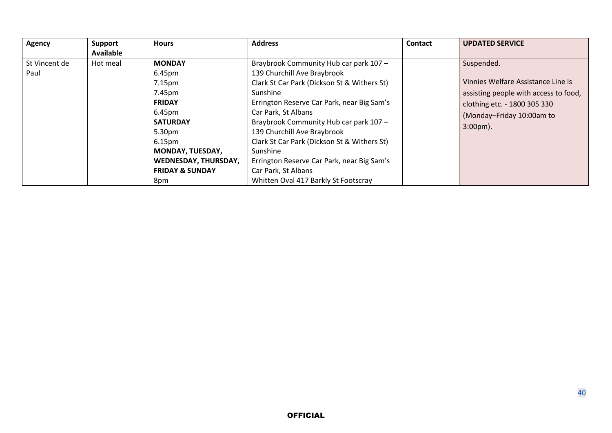| <b>Agency</b>         | <b>Support</b>   | <b>Hours</b>                                                                                                                                                                                                                         | <b>Address</b>                                                                                                                                                                                                                                                                                                                                                                                                                                         | Contact | <b>UPDATED SERVICE</b>                                                                                                                                                        |
|-----------------------|------------------|--------------------------------------------------------------------------------------------------------------------------------------------------------------------------------------------------------------------------------------|--------------------------------------------------------------------------------------------------------------------------------------------------------------------------------------------------------------------------------------------------------------------------------------------------------------------------------------------------------------------------------------------------------------------------------------------------------|---------|-------------------------------------------------------------------------------------------------------------------------------------------------------------------------------|
|                       | <b>Available</b> |                                                                                                                                                                                                                                      |                                                                                                                                                                                                                                                                                                                                                                                                                                                        |         |                                                                                                                                                                               |
| St Vincent de<br>Paul | Hot meal         | <b>MONDAY</b><br>6.45pm<br>7.15 <sub>pm</sub><br>7.45pm<br><b>FRIDAY</b><br>6.45pm<br><b>SATURDAY</b><br>5.30pm<br>6.15 <sub>pm</sub><br><b>MONDAY, TUESDAY,</b><br><b>WEDNESDAY, THURSDAY,</b><br><b>FRIDAY &amp; SUNDAY</b><br>8pm | Braybrook Community Hub car park 107 -<br>139 Churchill Ave Braybrook<br>Clark St Car Park (Dickson St & Withers St)<br>Sunshine<br>Errington Reserve Car Park, near Big Sam's<br>Car Park, St Albans<br>Braybrook Community Hub car park 107 -<br>139 Churchill Ave Braybrook<br>Clark St Car Park (Dickson St & Withers St)<br>Sunshine<br>Errington Reserve Car Park, near Big Sam's<br>Car Park, St Albans<br>Whitten Oval 417 Barkly St Footscray |         | Suspended.<br>Vinnies Welfare Assistance Line is<br>assisting people with access to food,<br>clothing etc. - 1800 305 330<br>(Monday-Friday 10:00am to<br>$3:00 \text{pm}$ ). |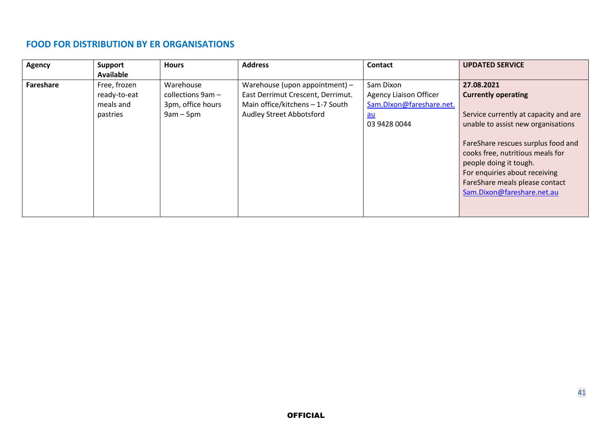### **FOOD FOR DISTRIBUTION BY ER ORGANISATIONS**

| <b>Agency</b> | Support          | <b>Hours</b>      | <b>Address</b>                    | <b>Contact</b>                | <b>UPDATED SERVICE</b>                |
|---------------|------------------|-------------------|-----------------------------------|-------------------------------|---------------------------------------|
|               | <b>Available</b> |                   |                                   |                               |                                       |
| Fareshare     | Free, frozen     | Warehouse         | Warehouse (upon appointment) -    | Sam Dixon                     | 27.08.2021                            |
|               | ready-to-eat     | collections 9am - | East Derrimut Crescent, Derrimut. | <b>Agency Liaison Officer</b> | <b>Currently operating</b>            |
|               | meals and        | 3pm, office hours | Main office/kitchens - 1-7 South  | Sam.DIxon@fareshare.net.      |                                       |
|               | pastries         | $9am - 5pm$       | <b>Audley Street Abbotsford</b>   | $au$                          | Service currently at capacity and are |
|               |                  |                   |                                   | 03 9428 0044                  | unable to assist new organisations    |
|               |                  |                   |                                   |                               |                                       |
|               |                  |                   |                                   |                               | FareShare rescues surplus food and    |
|               |                  |                   |                                   |                               | cooks free, nutritious meals for      |
|               |                  |                   |                                   |                               | people doing it tough.                |
|               |                  |                   |                                   |                               | For enquiries about receiving         |
|               |                  |                   |                                   |                               | FareShare meals please contact        |
|               |                  |                   |                                   |                               | Sam.Dixon@fareshare.net.au            |
|               |                  |                   |                                   |                               |                                       |
|               |                  |                   |                                   |                               |                                       |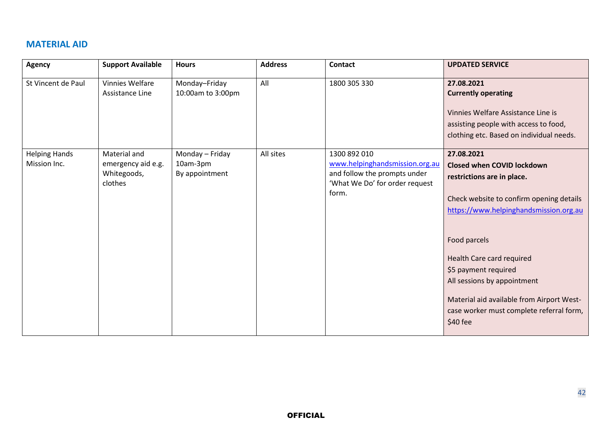## **MATERIAL AID**

| <b>Agency</b>                        | <b>Support Available</b>                                     | <b>Hours</b>                                  | <b>Address</b> | <b>Contact</b>                                                                                                            | <b>UPDATED SERVICE</b>                                                                                                                                                                                                                                                                                                                                                       |
|--------------------------------------|--------------------------------------------------------------|-----------------------------------------------|----------------|---------------------------------------------------------------------------------------------------------------------------|------------------------------------------------------------------------------------------------------------------------------------------------------------------------------------------------------------------------------------------------------------------------------------------------------------------------------------------------------------------------------|
| St Vincent de Paul                   | <b>Vinnies Welfare</b><br>Assistance Line                    | Monday-Friday<br>10:00am to 3:00pm            | All            | 1800 305 330                                                                                                              | 27.08.2021<br><b>Currently operating</b><br>Vinnies Welfare Assistance Line is<br>assisting people with access to food,<br>clothing etc. Based on individual needs.                                                                                                                                                                                                          |
| <b>Helping Hands</b><br>Mission Inc. | Material and<br>emergency aid e.g.<br>Whitegoods,<br>clothes | Monday - Friday<br>10am-3pm<br>By appointment | All sites      | 1300 892 010<br>www.helpinghandsmission.org.au<br>and follow the prompts under<br>'What We Do' for order request<br>form. | 27.08.2021<br><b>Closed when COVID lockdown</b><br>restrictions are in place.<br>Check website to confirm opening details<br>https://www.helpinghandsmission.org.au<br>Food parcels<br>Health Care card required<br>\$5 payment required<br>All sessions by appointment<br>Material aid available from Airport West-<br>case worker must complete referral form,<br>\$40 fee |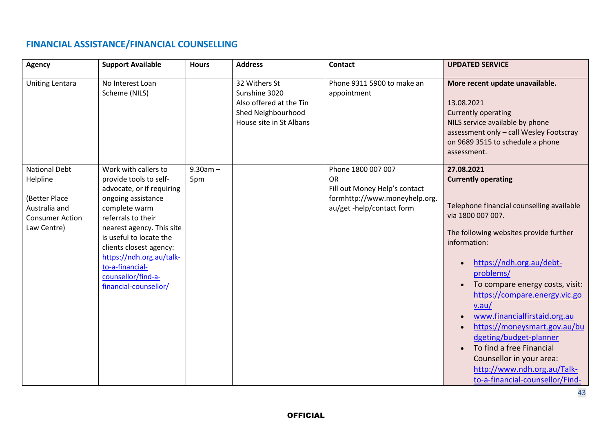## **FINANCIAL ASSISTANCE/FINANCIAL COUNSELLING**

| <b>Agency</b>                                                                                               | <b>Support Available</b>                                                                                                                                                                                                                                                                                                  | <b>Hours</b>      | <b>Address</b>                                                                                             | <b>Contact</b>                                                                                                                 | <b>UPDATED SERVICE</b>                                                                                                                                                                                                                                                                                                                                                                                                                                                                                         |
|-------------------------------------------------------------------------------------------------------------|---------------------------------------------------------------------------------------------------------------------------------------------------------------------------------------------------------------------------------------------------------------------------------------------------------------------------|-------------------|------------------------------------------------------------------------------------------------------------|--------------------------------------------------------------------------------------------------------------------------------|----------------------------------------------------------------------------------------------------------------------------------------------------------------------------------------------------------------------------------------------------------------------------------------------------------------------------------------------------------------------------------------------------------------------------------------------------------------------------------------------------------------|
| <b>Uniting Lentara</b>                                                                                      | No Interest Loan<br>Scheme (NILS)                                                                                                                                                                                                                                                                                         |                   | 32 Withers St<br>Sunshine 3020<br>Also offered at the Tin<br>Shed Neighbourhood<br>House site in St Albans | Phone 9311 5900 to make an<br>appointment                                                                                      | More recent update unavailable.<br>13.08.2021<br><b>Currently operating</b><br>NILS service available by phone<br>assessment only - call Wesley Footscray<br>on 9689 3515 to schedule a phone<br>assessment.                                                                                                                                                                                                                                                                                                   |
| <b>National Debt</b><br>Helpline<br>(Better Place<br>Australia and<br><b>Consumer Action</b><br>Law Centre) | Work with callers to<br>provide tools to self-<br>advocate, or if requiring<br>ongoing assistance<br>complete warm<br>referrals to their<br>nearest agency. This site<br>is useful to locate the<br>clients closest agency:<br>https://ndh.org.au/talk-<br>to-a-financial-<br>counsellor/find-a-<br>financial-counsellor/ | $9.30am -$<br>5pm |                                                                                                            | Phone 1800 007 007<br><b>OR</b><br>Fill out Money Help's contact<br>formhttp://www.moneyhelp.org.<br>au/get -help/contact form | 27.08.2021<br><b>Currently operating</b><br>Telephone financial counselling available<br>via 1800 007 007.<br>The following websites provide further<br>information:<br>https://ndh.org.au/debt-<br>problems/<br>To compare energy costs, visit:<br>https://compare.energy.vic.go<br>v.au/<br>www.financialfirstaid.org.au<br>https://moneysmart.gov.au/bu<br>dgeting/budget-planner<br>To find a free Financial<br>Counsellor in your area:<br>http://www.ndh.org.au/Talk-<br>to-a-financial-counsellor/Find- |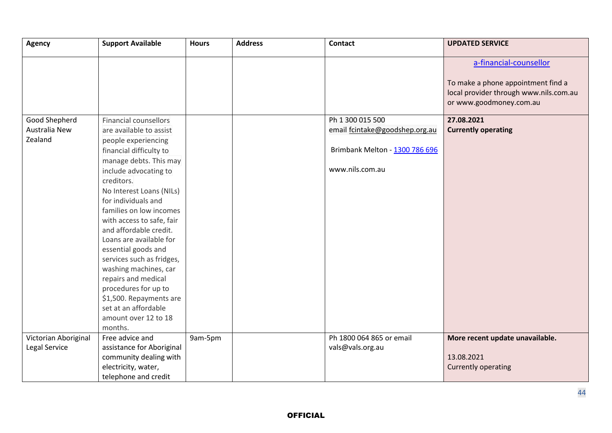| <b>Agency</b>        | <b>Support Available</b>     | <b>Hours</b> | <b>Address</b> | <b>Contact</b>                 | <b>UPDATED SERVICE</b>                                                                                                            |
|----------------------|------------------------------|--------------|----------------|--------------------------------|-----------------------------------------------------------------------------------------------------------------------------------|
|                      |                              |              |                |                                | a-financial-counsellor<br>To make a phone appointment find a<br>local provider through www.nils.com.au<br>or www.goodmoney.com.au |
| Good Shepherd        | <b>Financial counsellors</b> |              |                | Ph 1 300 015 500               | 27.08.2021                                                                                                                        |
| Australia New        | are available to assist      |              |                | email fcintake@goodshep.org.au | <b>Currently operating</b>                                                                                                        |
| Zealand              | people experiencing          |              |                |                                |                                                                                                                                   |
|                      | financial difficulty to      |              |                | Brimbank Melton - 1300 786 696 |                                                                                                                                   |
|                      | manage debts. This may       |              |                |                                |                                                                                                                                   |
|                      | include advocating to        |              |                | www.nils.com.au                |                                                                                                                                   |
|                      | creditors.                   |              |                |                                |                                                                                                                                   |
|                      | No Interest Loans (NILs)     |              |                |                                |                                                                                                                                   |
|                      | for individuals and          |              |                |                                |                                                                                                                                   |
|                      | families on low incomes      |              |                |                                |                                                                                                                                   |
|                      | with access to safe, fair    |              |                |                                |                                                                                                                                   |
|                      | and affordable credit.       |              |                |                                |                                                                                                                                   |
|                      | Loans are available for      |              |                |                                |                                                                                                                                   |
|                      | essential goods and          |              |                |                                |                                                                                                                                   |
|                      | services such as fridges,    |              |                |                                |                                                                                                                                   |
|                      | washing machines, car        |              |                |                                |                                                                                                                                   |
|                      | repairs and medical          |              |                |                                |                                                                                                                                   |
|                      | procedures for up to         |              |                |                                |                                                                                                                                   |
|                      | \$1,500. Repayments are      |              |                |                                |                                                                                                                                   |
|                      | set at an affordable         |              |                |                                |                                                                                                                                   |
|                      | amount over 12 to 18         |              |                |                                |                                                                                                                                   |
|                      | months.                      |              |                |                                |                                                                                                                                   |
| Victorian Aboriginal | Free advice and              | 9am-5pm      |                | Ph 1800 064 865 or email       | More recent update unavailable.                                                                                                   |
| Legal Service        | assistance for Aboriginal    |              |                | vals@vals.org.au               |                                                                                                                                   |
|                      | community dealing with       |              |                |                                | 13.08.2021                                                                                                                        |
|                      | electricity, water,          |              |                |                                | <b>Currently operating</b>                                                                                                        |
|                      | telephone and credit         |              |                |                                |                                                                                                                                   |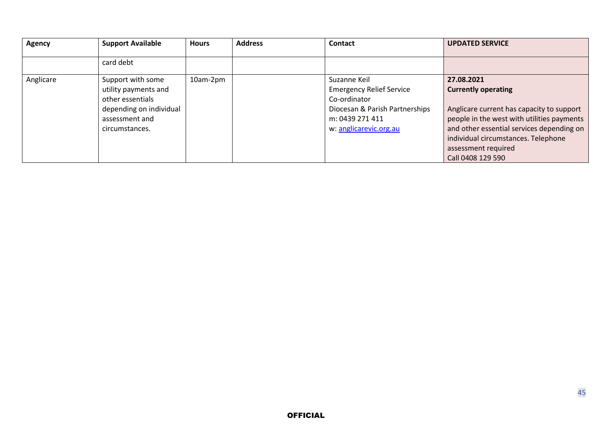| <b>Agency</b> | <b>Support Available</b> | <b>Hours</b> | <b>Address</b> | Contact                         | <b>UPDATED SERVICE</b>                     |
|---------------|--------------------------|--------------|----------------|---------------------------------|--------------------------------------------|
|               | card debt                |              |                |                                 |                                            |
| Anglicare     | Support with some        | 10am-2pm     |                | Suzanne Keil                    | 27.08.2021                                 |
|               | utility payments and     |              |                | <b>Emergency Relief Service</b> | <b>Currently operating</b>                 |
|               | other essentials         |              |                | Co-ordinator                    |                                            |
|               | depending on individual  |              |                | Diocesan & Parish Partnerships  | Anglicare current has capacity to support  |
|               | assessment and           |              |                | m: 0439 271 411                 | people in the west with utilities payments |
|               | circumstances.           |              |                | w: anglicarevic.org.au          | and other essential services depending on  |
|               |                          |              |                |                                 | individual circumstances. Telephone        |
|               |                          |              |                |                                 | assessment required                        |
|               |                          |              |                |                                 | Call 0408 129 590                          |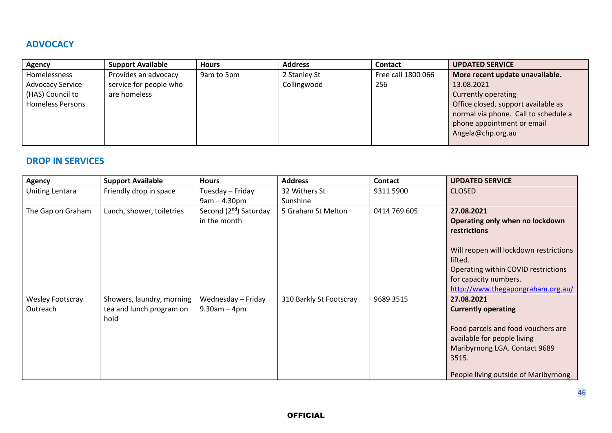## **ADVOCACY**

| <b>Agency</b>           | <b>Support Available</b> | <b>Hours</b> | <b>Address</b> | <b>Contact</b>     | <b>UPDATED SERVICE</b>               |
|-------------------------|--------------------------|--------------|----------------|--------------------|--------------------------------------|
| Homelessness            | Provides an advocacy     | 9am to 5pm   | 2 Stanley St   | Free call 1800 066 | More recent update unavailable.      |
| <b>Advocacy Service</b> | service for people who   |              | Collingwood    | 256                | 13.08.2021                           |
| (HAS) Council to        | are homeless             |              |                |                    | Currently operating                  |
| <b>Homeless Persons</b> |                          |              |                |                    | Office closed, support available as  |
|                         |                          |              |                |                    | normal via phone. Call to schedule a |
|                         |                          |              |                |                    | phone appointment or email           |
|                         |                          |              |                |                    | Angela@chp.org.au                    |
|                         |                          |              |                |                    |                                      |

## **DROP IN SERVICES**

| <b>Agency</b>                | <b>Support Available</b>                                      | <b>Hours</b>                                       | <b>Address</b>          | <b>Contact</b> | <b>UPDATED SERVICE</b>                                                                                                                                                                          |
|------------------------------|---------------------------------------------------------------|----------------------------------------------------|-------------------------|----------------|-------------------------------------------------------------------------------------------------------------------------------------------------------------------------------------------------|
| <b>Uniting Lentara</b>       | Friendly drop in space                                        | Tuesday - Friday                                   | 32 Withers St           | 9311 5900      | <b>CLOSED</b>                                                                                                                                                                                   |
|                              |                                                               | $9am - 4.30pm$                                     | Sunshine                |                |                                                                                                                                                                                                 |
| The Gap on Graham            | Lunch, shower, toiletries                                     | Second (2 <sup>nd</sup> ) Saturday<br>in the month | 5 Graham St Melton      | 0414 769 605   | 27.08.2021<br>Operating only when no lockdown<br><b>restrictions</b>                                                                                                                            |
|                              |                                                               |                                                    |                         |                | Will reopen will lockdown restrictions<br>lifted.<br>Operating within COVID restrictions<br>for capacity numbers.<br>http://www.thegapongraham.org.au/                                          |
| Wesley Footscray<br>Outreach | Showers, laundry, morning<br>tea and lunch program on<br>hold | Wednesday - Friday<br>$9.30$ am - 4pm              | 310 Barkly St Footscray | 9689 3515      | 27.08.2021<br><b>Currently operating</b><br>Food parcels and food vouchers are<br>available for people living<br>Maribyrnong LGA. Contact 9689<br>3515.<br>People living outside of Maribyrnong |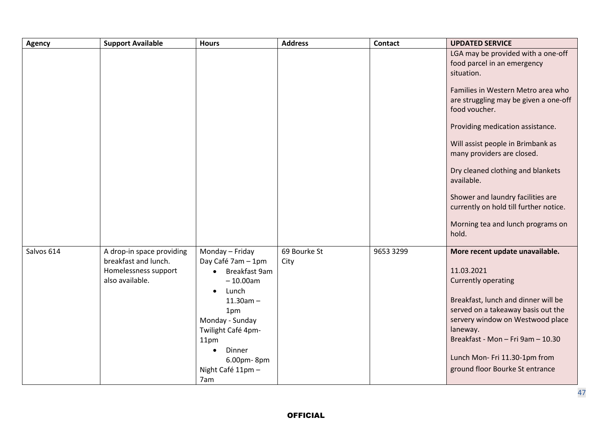| Agency     | <b>Support Available</b>                                                                     | <b>Hours</b>                                                                                                                                                                                                                                    | <b>Address</b>       | <b>Contact</b> | <b>UPDATED SERVICE</b>                                                                                                                                                                                                                                                                                                                    |
|------------|----------------------------------------------------------------------------------------------|-------------------------------------------------------------------------------------------------------------------------------------------------------------------------------------------------------------------------------------------------|----------------------|----------------|-------------------------------------------------------------------------------------------------------------------------------------------------------------------------------------------------------------------------------------------------------------------------------------------------------------------------------------------|
|            |                                                                                              |                                                                                                                                                                                                                                                 |                      |                | LGA may be provided with a one-off<br>food parcel in an emergency<br>situation.<br>Families in Western Metro area who<br>are struggling may be given a one-off<br>food voucher.<br>Providing medication assistance.<br>Will assist people in Brimbank as<br>many providers are closed.<br>Dry cleaned clothing and blankets<br>available. |
|            |                                                                                              |                                                                                                                                                                                                                                                 |                      |                | Shower and laundry facilities are<br>currently on hold till further notice.<br>Morning tea and lunch programs on<br>hold.                                                                                                                                                                                                                 |
| Salvos 614 | A drop-in space providing<br>breakfast and lunch.<br>Homelessness support<br>also available. | Monday - Friday<br>Day Café 7am - 1pm<br>Breakfast 9am<br>$\bullet$<br>$-10.00am$<br>Lunch<br>$\bullet$<br>$11.30am -$<br>1pm<br>Monday - Sunday<br>Twilight Café 4pm-<br>11pm<br>Dinner<br>$\bullet$<br>6.00pm-8pm<br>Night Café 11pm -<br>7am | 69 Bourke St<br>City | 9653 3299      | More recent update unavailable.<br>11.03.2021<br><b>Currently operating</b><br>Breakfast, lunch and dinner will be<br>served on a takeaway basis out the<br>servery window on Westwood place<br>laneway.<br>Breakfast - Mon - Fri 9am - 10.30<br>Lunch Mon- Fri 11.30-1pm from<br>ground floor Bourke St entrance                         |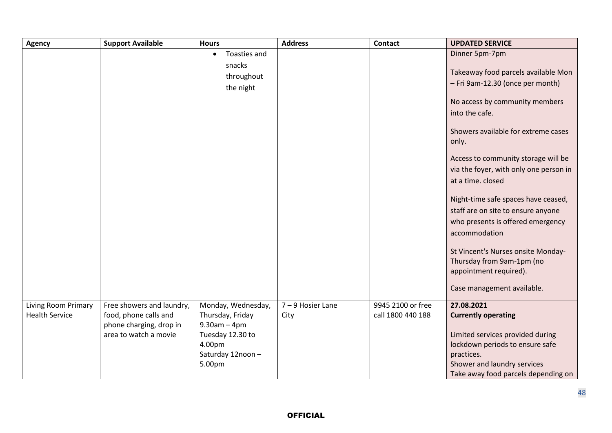| <b>Agency</b>         | <b>Support Available</b>  | <b>Hours</b>               | <b>Address</b>    | <b>Contact</b>    | <b>UPDATED SERVICE</b>                        |
|-----------------------|---------------------------|----------------------------|-------------------|-------------------|-----------------------------------------------|
|                       |                           | Toasties and<br>$\bullet$  |                   |                   | Dinner 5pm-7pm                                |
|                       |                           | snacks                     |                   |                   |                                               |
|                       |                           | throughout                 |                   |                   | Takeaway food parcels available Mon           |
|                       |                           | the night                  |                   |                   | - Fri 9am-12.30 (once per month)              |
|                       |                           |                            |                   |                   | No access by community members                |
|                       |                           |                            |                   |                   | into the cafe.                                |
|                       |                           |                            |                   |                   |                                               |
|                       |                           |                            |                   |                   | Showers available for extreme cases           |
|                       |                           |                            |                   |                   | only.                                         |
|                       |                           |                            |                   |                   | Access to community storage will be           |
|                       |                           |                            |                   |                   |                                               |
|                       |                           |                            |                   |                   | via the foyer, with only one person in        |
|                       |                           |                            |                   |                   | at a time. closed                             |
|                       |                           |                            |                   |                   | Night-time safe spaces have ceased,           |
|                       |                           |                            |                   |                   | staff are on site to ensure anyone            |
|                       |                           |                            |                   |                   | who presents is offered emergency             |
|                       |                           |                            |                   |                   | accommodation                                 |
|                       |                           |                            |                   |                   |                                               |
|                       |                           |                            |                   |                   | St Vincent's Nurses onsite Monday-            |
|                       |                           |                            |                   |                   | Thursday from 9am-1pm (no                     |
|                       |                           |                            |                   |                   | appointment required).                        |
|                       |                           |                            |                   |                   | Case management available.                    |
|                       |                           |                            |                   |                   |                                               |
| Living Room Primary   | Free showers and laundry, | Monday, Wednesday,         | 7 - 9 Hosier Lane | 9945 2100 or free | 27.08.2021                                    |
| <b>Health Service</b> | food, phone calls and     | Thursday, Friday           | City              | call 1800 440 188 | <b>Currently operating</b>                    |
|                       | phone charging, drop in   | $9.30$ am $-4$ pm          |                   |                   |                                               |
|                       | area to watch a movie     | Tuesday 12.30 to           |                   |                   | Limited services provided during              |
|                       |                           | 4.00pm<br>Saturday 12noon- |                   |                   | lockdown periods to ensure safe<br>practices. |
|                       |                           | 5.00pm                     |                   |                   | Shower and laundry services                   |
|                       |                           |                            |                   |                   | Take away food parcels depending on           |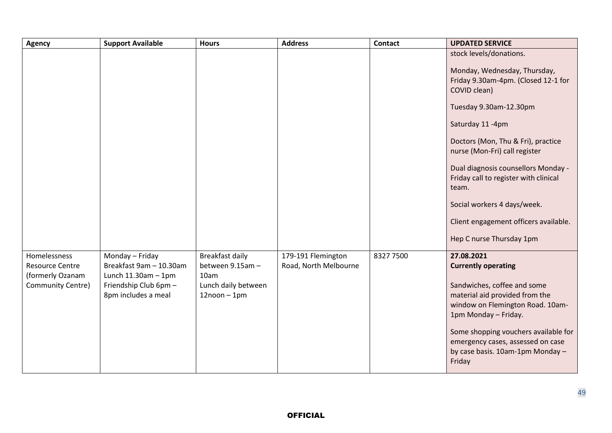| Agency                                                                          | <b>Support Available</b>                                                                                               | <b>Hours</b>                                                                                 | <b>Address</b>                              | <b>Contact</b> | <b>UPDATED SERVICE</b>                                                                                                                                                                                                                                                                           |
|---------------------------------------------------------------------------------|------------------------------------------------------------------------------------------------------------------------|----------------------------------------------------------------------------------------------|---------------------------------------------|----------------|--------------------------------------------------------------------------------------------------------------------------------------------------------------------------------------------------------------------------------------------------------------------------------------------------|
|                                                                                 |                                                                                                                        |                                                                                              |                                             |                | stock levels/donations.<br>Monday, Wednesday, Thursday,<br>Friday 9.30am-4pm. (Closed 12-1 for<br>COVID clean)<br>Tuesday 9.30am-12.30pm<br>Saturday 11-4pm<br>Doctors (Mon, Thu & Fri), practice<br>nurse (Mon-Fri) call register<br>Dual diagnosis counsellors Monday -                        |
|                                                                                 |                                                                                                                        |                                                                                              |                                             |                | Friday call to register with clinical<br>team.<br>Social workers 4 days/week.                                                                                                                                                                                                                    |
|                                                                                 |                                                                                                                        |                                                                                              |                                             |                | Client engagement officers available.<br>Hep C nurse Thursday 1pm                                                                                                                                                                                                                                |
| Homelessness<br><b>Resource Centre</b><br>(formerly Ozanam<br>Community Centre) | Monday - Friday<br>Breakfast 9am - 10.30am<br>Lunch $11.30$ am $-1$ pm<br>Friendship Club 6pm -<br>8pm includes a meal | <b>Breakfast daily</b><br>between 9.15am -<br>10am<br>Lunch daily between<br>$12$ noon - 1pm | 179-191 Flemington<br>Road, North Melbourne | 8327 7500      | 27.08.2021<br><b>Currently operating</b><br>Sandwiches, coffee and some<br>material aid provided from the<br>window on Flemington Road. 10am-<br>1pm Monday - Friday.<br>Some shopping vouchers available for<br>emergency cases, assessed on case<br>by case basis. 10am-1pm Monday -<br>Friday |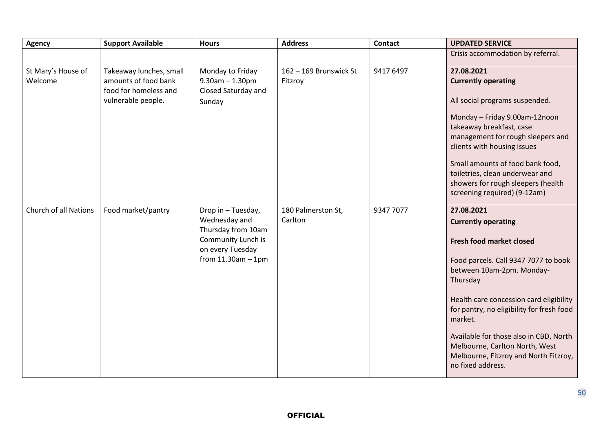| <b>Agency</b>                | <b>Support Available</b>                    | <b>Hours</b>                             | <b>Address</b>         | <b>Contact</b> | <b>UPDATED SERVICE</b>                                                                                                                 |
|------------------------------|---------------------------------------------|------------------------------------------|------------------------|----------------|----------------------------------------------------------------------------------------------------------------------------------------|
|                              |                                             |                                          |                        |                | Crisis accommodation by referral.                                                                                                      |
| St Mary's House of           | Takeaway lunches, small                     | Monday to Friday                         | 162 - 169 Brunswick St | 9417 6497      | 27.08.2021                                                                                                                             |
| Welcome                      | amounts of food bank                        | $9.30$ am $- 1.30$ pm                    | Fitzroy                |                | <b>Currently operating</b>                                                                                                             |
|                              | food for homeless and<br>vulnerable people. | Closed Saturday and<br>Sunday            |                        |                | All social programs suspended.                                                                                                         |
|                              |                                             |                                          |                        |                | Monday - Friday 9.00am-12noon                                                                                                          |
|                              |                                             |                                          |                        |                | takeaway breakfast, case                                                                                                               |
|                              |                                             |                                          |                        |                | management for rough sleepers and<br>clients with housing issues                                                                       |
|                              |                                             |                                          |                        |                | Small amounts of food bank food,                                                                                                       |
|                              |                                             |                                          |                        |                | toiletries, clean underwear and                                                                                                        |
|                              |                                             |                                          |                        |                | showers for rough sleepers (health                                                                                                     |
|                              |                                             |                                          |                        |                | screening required) (9-12am)                                                                                                           |
| <b>Church of all Nations</b> | Food market/pantry                          | Drop in - Tuesday,                       | 180 Palmerston St,     | 9347 7077      | 27.08.2021                                                                                                                             |
|                              |                                             | Wednesday and                            | Carlton                |                | <b>Currently operating</b>                                                                                                             |
|                              |                                             | Thursday from 10am<br>Community Lunch is |                        |                |                                                                                                                                        |
|                              |                                             | on every Tuesday                         |                        |                | <b>Fresh food market closed</b>                                                                                                        |
|                              |                                             | from $11.30$ am $-1$ pm                  |                        |                | Food parcels. Call 9347 7077 to book<br>between 10am-2pm. Monday-<br>Thursday                                                          |
|                              |                                             |                                          |                        |                | Health care concession card eligibility<br>for pantry, no eligibility for fresh food<br>market.                                        |
|                              |                                             |                                          |                        |                | Available for those also in CBD, North<br>Melbourne, Carlton North, West<br>Melbourne, Fitzroy and North Fitzroy,<br>no fixed address. |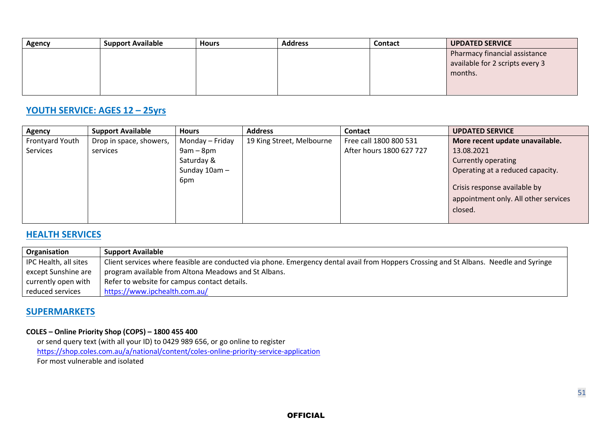| <b>Agency</b> | <b>Support Available</b> | <b>Hours</b> | <b>Address</b> | Contact | UPDATED SERVICE                 |
|---------------|--------------------------|--------------|----------------|---------|---------------------------------|
|               |                          |              |                |         | Pharmacy financial assistance   |
|               |                          |              |                |         | available for 2 scripts every 3 |
|               |                          |              |                |         | months.                         |
|               |                          |              |                |         |                                 |
|               |                          |              |                |         |                                 |

#### **YOUTH SERVICE: AGES 12 – 25yrs**

| <b>Agency</b>   | <b>Support Available</b> | <b>Hours</b>    | <b>Address</b>            | <b>Contact</b>           | <b>UPDATED SERVICE</b>               |
|-----------------|--------------------------|-----------------|---------------------------|--------------------------|--------------------------------------|
| Frontyard Youth | Drop in space, showers,  | Monday – Friday | 19 King Street, Melbourne | Free call 1800 800 531   | More recent update unavailable.      |
| Services        | services                 | $9am - 8pm$     |                           | After hours 1800 627 727 | 13.08.2021                           |
|                 |                          | Saturday &      |                           |                          | Currently operating                  |
|                 |                          | Sunday 10am -   |                           |                          | Operating at a reduced capacity.     |
|                 |                          | 6pm             |                           |                          |                                      |
|                 |                          |                 |                           |                          | Crisis response available by         |
|                 |                          |                 |                           |                          | appointment only. All other services |
|                 |                          |                 |                           |                          | closed.                              |
|                 |                          |                 |                           |                          |                                      |

## **HEALTH SERVICES**

| Organisation          | <b>Support Available</b>                                                                                                               |
|-----------------------|----------------------------------------------------------------------------------------------------------------------------------------|
| IPC Health, all sites | Client services where feasible are conducted via phone. Emergency dental avail from Hoppers Crossing and St Albans. Needle and Syringe |
| except Sunshine are   | program available from Altona Meadows and St Albans.                                                                                   |
| currently open with   | Refer to website for campus contact details.                                                                                           |
| reduced services      | https://www.ipchealth.com.au/                                                                                                          |

#### **SUPERMARKETS**

#### **COLES – Online Priority Shop (COPS) – 1800 455 400**

 or send query text (with all your ID) to 0429 989 656, or go online to register <https://shop.coles.com.au/a/national/content/coles-online-priority-service-application> For most vulnerable and isolated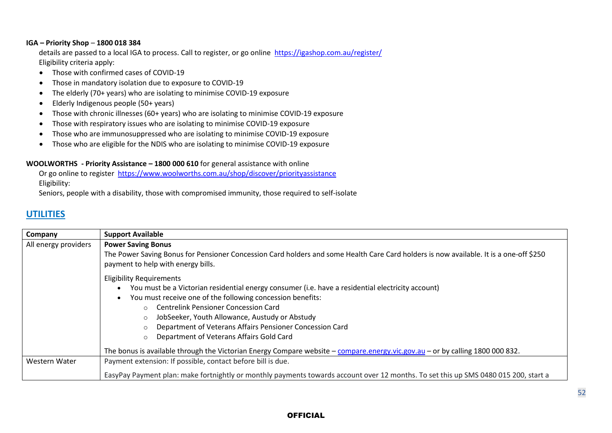#### **IGA – Priority Shop** – **1800 018 384**

 details are passed to a local IGA to process. Call to register, or go online <https://igashop.com.au/register/> Eligibility criteria apply:

- Those with confirmed cases of COVID-19
- Those in mandatory isolation due to exposure to COVID-19
- The elderly (70+ years) who are isolating to minimise COVID-19 exposure
- Elderly Indigenous people (50+ years)
- Those with chronic illnesses (60+ years) who are isolating to minimise COVID-19 exposure
- Those with respiratory issues who are isolating to minimise COVID-19 exposure
- Those who are immunosuppressed who are isolating to minimise COVID-19 exposure
- Those who are eligible for the NDIS who are isolating to minimise COVID-19 exposure

#### **WOOLWORTHS - Priority Assistance – 1800 000 610** for general assistance with online

 Or go online to register <https://www.woolworths.com.au/shop/discover/priorityassistance> Eligibility:

Seniors, people with a disability, those with compromised immunity, those required to self-isolate

### **UTILITIES**

| Company              | <b>Support Available</b>                                                                                                                                                     |
|----------------------|------------------------------------------------------------------------------------------------------------------------------------------------------------------------------|
| All energy providers | <b>Power Saving Bonus</b>                                                                                                                                                    |
|                      | The Power Saving Bonus for Pensioner Concession Card holders and some Health Care Card holders is now available. It is a one-off \$250<br>payment to help with energy bills. |
|                      | <b>Eligibility Requirements</b>                                                                                                                                              |
|                      | You must be a Victorian residential energy consumer (i.e. have a residential electricity account)                                                                            |
|                      | You must receive one of the following concession benefits:                                                                                                                   |
|                      | <b>Centrelink Pensioner Concession Card</b><br>$\circ$                                                                                                                       |
|                      | JobSeeker, Youth Allowance, Austudy or Abstudy<br>$\circ$                                                                                                                    |
|                      | Department of Veterans Affairs Pensioner Concession Card<br>$\circ$                                                                                                          |
|                      | Department of Veterans Affairs Gold Card<br>$\circ$                                                                                                                          |
|                      | The bonus is available through the Victorian Energy Compare website - compare.energy.vic.gov.au - or by calling 1800 000 832.                                                |
| Western Water        | Payment extension: If possible, contact before bill is due.                                                                                                                  |
|                      | EasyPay Payment plan: make fortnightly or monthly payments towards account over 12 months. To set this up SMS 0480 015 200, start a                                          |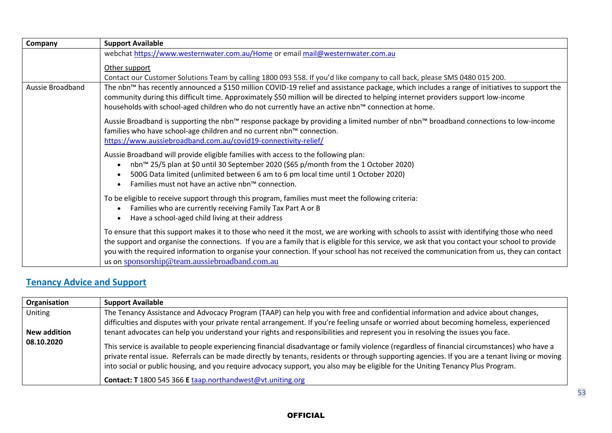| Company          | <b>Support Available</b>                                                                                                                                                                                                                                                                                                                                                                                                                                                                                             |
|------------------|----------------------------------------------------------------------------------------------------------------------------------------------------------------------------------------------------------------------------------------------------------------------------------------------------------------------------------------------------------------------------------------------------------------------------------------------------------------------------------------------------------------------|
|                  | webchat https://www.westernwater.com.au/Home or email mail@westernwater.com.au                                                                                                                                                                                                                                                                                                                                                                                                                                       |
|                  | Other support                                                                                                                                                                                                                                                                                                                                                                                                                                                                                                        |
| Aussie Broadband | Contact our Customer Solutions Team by calling 1800 093 558. If you'd like company to call back, please SMS 0480 015 200.<br>The nbn™ has recently announced a \$150 million COVID-19 relief and assistance package, which includes a range of initiatives to support the<br>community during this difficult time. Approximately \$50 million will be directed to helping internet providers support low-income<br>households with school-aged children who do not currently have an active nbn™ connection at home. |
|                  | Aussie Broadband is supporting the nbn™ response package by providing a limited number of nbn™ broadband connections to low-income<br>families who have school-age children and no current nbn™ connection.<br>https://www.aussiebroadband.com.au/covid19-connectivity-relief/                                                                                                                                                                                                                                       |
|                  | Aussie Broadband will provide eligible families with access to the following plan:<br>nbn™ 25/5 plan at \$0 until 30 September 2020 (\$65 p/month from the 1 October 2020)<br>$\bullet$<br>500G Data limited (unlimited between 6 am to 6 pm local time until 1 October 2020)<br>$\bullet$<br>Families must not have an active nbn™ connection.                                                                                                                                                                      |
|                  | To be eligible to receive support through this program, families must meet the following criteria:<br>Families who are currently receiving Family Tax Part A or B<br>$\bullet$<br>Have a school-aged child living at their address<br>$\bullet$                                                                                                                                                                                                                                                                      |
|                  | To ensure that this support makes it to those who need it the most, we are working with schools to assist with identifying those who need<br>the support and organise the connections. If you are a family that is eligible for this service, we ask that you contact your school to provide<br>you with the required information to organise your connection. If your school has not received the communication from us, they can contact<br>us on sponsorship@team.aussiebroadband.com.au                          |

# **Tenancy Advice and Support**

| Organisation | <b>Support Available</b>                                                                                                                                                                                                                                                                                                                                                                                                                                                                          |
|--------------|---------------------------------------------------------------------------------------------------------------------------------------------------------------------------------------------------------------------------------------------------------------------------------------------------------------------------------------------------------------------------------------------------------------------------------------------------------------------------------------------------|
| Uniting      | The Tenancy Assistance and Advocacy Program (TAAP) can help you with free and confidential information and advice about changes,                                                                                                                                                                                                                                                                                                                                                                  |
|              | difficulties and disputes with your private rental arrangement. If you're feeling unsafe or worried about becoming homeless, experienced                                                                                                                                                                                                                                                                                                                                                          |
| New addition | tenant advocates can help you understand your rights and responsibilities and represent you in resolving the issues you face.                                                                                                                                                                                                                                                                                                                                                                     |
| 08.10.2020   | This service is available to people experiencing financial disadvantage or family violence (regardless of financial circumstances) who have a<br>private rental issue. Referrals can be made directly by tenants, residents or through supporting agencies. If you are a tenant living or moving<br>into social or public housing, and you require advocacy support, you also may be eligible for the Uniting Tenancy Plus Program.<br>Contact: T 1800 545 366 E taap.northandwest@vt.uniting.org |